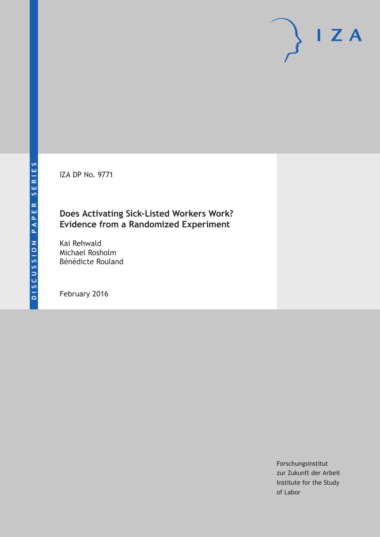IZA DP No. 9771

## **Does Activating Sick-Listed Workers Work? Evidence from a Randomized Experiment**

Kai Rehwald Michael Rosholm Bénédicte Rouland

February 2016

Forschungsinstitut zur Zukunft der Arbeit Institute for the Study of Labor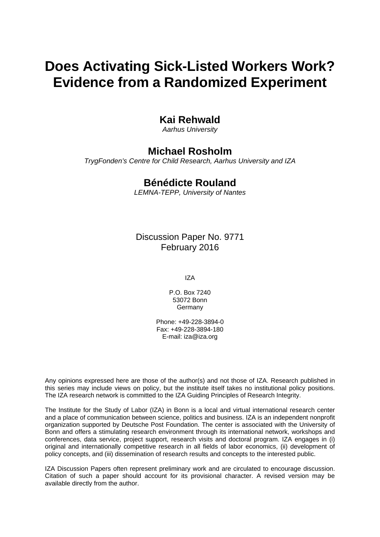# **Does Activating Sick-Listed Workers Work? Evidence from a Randomized Experiment**

## **Kai Rehwald**

*Aarhus University* 

## **Michael Rosholm**

*TrygFonden's Centre for Child Research, Aarhus University and IZA* 

### **Bénédicte Rouland**

*LEMNA-TEPP, University of Nantes*

Discussion Paper No. 9771 February 2016

IZA

P.O. Box 7240 53072 Bonn Germany

Phone: +49-228-3894-0 Fax: +49-228-3894-180 E-mail: iza@iza.org

Any opinions expressed here are those of the author(s) and not those of IZA. Research published in this series may include views on policy, but the institute itself takes no institutional policy positions. The IZA research network is committed to the IZA Guiding Principles of Research Integrity.

The Institute for the Study of Labor (IZA) in Bonn is a local and virtual international research center and a place of communication between science, politics and business. IZA is an independent nonprofit organization supported by Deutsche Post Foundation. The center is associated with the University of Bonn and offers a stimulating research environment through its international network, workshops and conferences, data service, project support, research visits and doctoral program. IZA engages in (i) original and internationally competitive research in all fields of labor economics, (ii) development of policy concepts, and (iii) dissemination of research results and concepts to the interested public.

IZA Discussion Papers often represent preliminary work and are circulated to encourage discussion. Citation of such a paper should account for its provisional character. A revised version may be available directly from the author.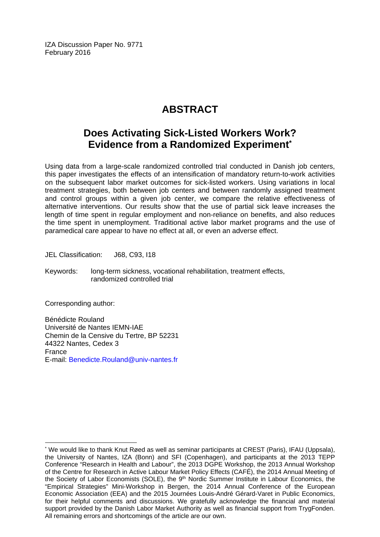IZA Discussion Paper No. 9771 February 2016

## **ABSTRACT**

## **Does Activating Sick-Listed Workers Work? Evidence from a Randomized Experiment\***

Using data from a large-scale randomized controlled trial conducted in Danish job centers, this paper investigates the effects of an intensification of mandatory return-to-work activities on the subsequent labor market outcomes for sick-listed workers. Using variations in local treatment strategies, both between job centers and between randomly assigned treatment and control groups within a given job center, we compare the relative effectiveness of alternative interventions. Our results show that the use of partial sick leave increases the length of time spent in regular employment and non-reliance on benefits, and also reduces the time spent in unemployment. Traditional active labor market programs and the use of paramedical care appear to have no effect at all, or even an adverse effect.

JEL Classification: J68, C93, I18

Keywords: long-term sickness, vocational rehabilitation, treatment effects, randomized controlled trial

Corresponding author:

 $\overline{a}$ 

Bénédicte Rouland Université de Nantes IEMN-IAE Chemin de la Censive du Tertre, BP 52231 44322 Nantes, Cedex 3 France E-mail: Benedicte.Rouland@univ-nantes.fr

<sup>\*</sup> We would like to thank Knut Røed as well as seminar participants at CREST (Paris), IFAU (Uppsala), the University of Nantes, IZA (Bonn) and SFI (Copenhagen), and participants at the 2013 TEPP Conference "Research in Health and Labour", the 2013 DGPE Workshop, the 2013 Annual Workshop of the Centre for Research in Active Labour Market Policy Effects (CAFÉ), the 2014 Annual Meeting of the Society of Labor Economists (SOLE), the 9<sup>th</sup> Nordic Summer Institute in Labour Economics, the "Empirical Strategies" Mini-Workshop in Bergen, the 2014 Annual Conference of the European Economic Association (EEA) and the 2015 Journées Louis-André Gérard-Varet in Public Economics, for their helpful comments and discussions. We gratefully acknowledge the financial and material support provided by the Danish Labor Market Authority as well as financial support from TrygFonden. All remaining errors and shortcomings of the article are our own.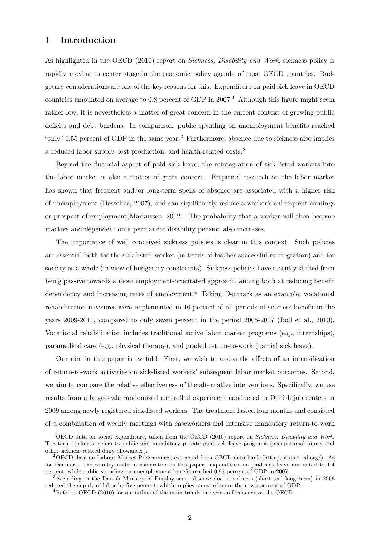#### 1 Introduction

As highlighted in the OECD (2010) report on *Sickness, Disability and Work*, sickness policy is rapidly moving to center stage in the economic policy agenda of most OECD countries. Budgetary considerations are one of the key reasons for this. Expenditure on paid sick leave in OECD countries amounted on average to 0.8 percent of GDP in  $2007<sup>1</sup>$ . Although this figure might seem rather low, it is nevertheless a matter of great concern in the current context of growing public deficits and debt burdens. In comparison, public spending on unemployment benefits reached "only" 0.55 percent of GDP in the same year.<sup>2</sup> Furthermore, absence due to sickness also implies a reduced labor supply, lost production, and health-related costs.<sup>3</sup>

Beyond the financial aspect of paid sick leave, the reintegration of sick-listed workers into the labor market is also a matter of great concern. Empirical research on the labor market has shown that frequent and/or long-term spells of absence are associated with a higher risk of unemployment (Hesselius, 2007), and can significantly reduce a worker's subsequent earnings or prospect of employment(Markussen, 2012). The probability that a worker will then become inactive and dependent on a permanent disability pension also increases.

The importance of well conceived sickness policies is clear in this context. Such policies are essential both for the sick-listed worker (in terms of his/her successful reintegration) and for society as a whole (in view of budgetary constraints). Sickness policies have recently shifted from being passive towards a more employment-orientated approach, aiming both at reducing benefit dependency and increasing rates of employment.<sup>4</sup> Taking Denmark as an example, vocational rehabilitation measures were implemented in 16 percent of all periods of sickness benefit in the years 2009-2011, compared to only seven percent in the period 2005-2007 (Boll et al., 2010). Vocational rehabilitation includes traditional active labor market programs (e.g., internships), paramedical care (e.g., physical therapy), and graded return-to-work (partial sick leave).

Our aim in this paper is twofold. First, we wish to assess the effects of an intensification of return-to-work activities on sick-listed workers' subsequent labor market outcomes. Second, we aim to compare the relative effectiveness of the alternative interventions. Specifically, we use results from a large-scale randomized controlled experiment conducted in Danish job centers in 2009 among newly registered sick-listed workers. The treatment lasted four months and consisted of a combination of weekly meetings with caseworkers and intensive mandatory return-to-work

<sup>1</sup>OECD data on social expenditure, taken from the OECD (2010) report on *Sickness, Disability and Work*. The term 'sickness' refers to public and mandatory private paid sick leave programs (occupational injury and other sickness-related daily allowances).

<sup>2</sup>OECD data on Labour Market Programmes, extracted from OECD data bank (http://stats.oecd.org/). As for Denmark—the country under consideration in this paper—expenditure on paid sick leave amounted to 1.4 percent, while public spending on unemployment benefit reached 0.96 percent of GDP in 2007.

<sup>3</sup>According to the Danish Ministry of Employment, absence due to sickness (short and long term) in 2006 reduced the supply of labor by five percent, which implies a cost of more than two percent of GDP.

<sup>4</sup>Refer to OECD (2010) for an outline of the main trends in recent reforms across the OECD.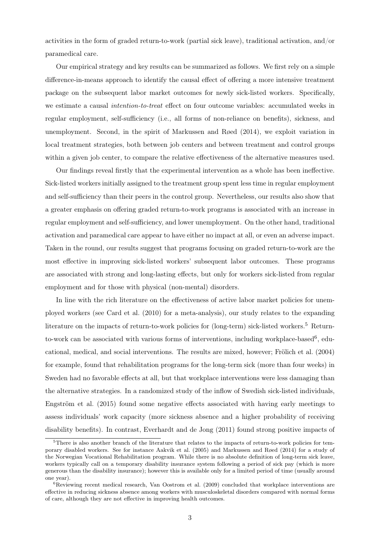activities in the form of graded return-to-work (partial sick leave), traditional activation, and/or paramedical care.

Our empirical strategy and key results can be summarized as follows. We first rely on a simple difference-in-means approach to identify the causal effect of offering a more intensive treatment package on the subsequent labor market outcomes for newly sick-listed workers. Specifically, we estimate a causal *intention-to-treat* effect on four outcome variables: accumulated weeks in regular employment, self-sufficiency (i.e., all forms of non-reliance on benefits), sickness, and unemployment. Second, in the spirit of Markussen and Røed (2014), we exploit variation in local treatment strategies, both between job centers and between treatment and control groups within a given job center, to compare the relative effectiveness of the alternative measures used.

Our findings reveal firstly that the experimental intervention as a whole has been ineffective. Sick-listed workers initially assigned to the treatment group spent less time in regular employment and self-sufficiency than their peers in the control group. Nevertheless, our results also show that a greater emphasis on offering graded return-to-work programs is associated with an increase in regular employment and self-sufficiency, and lower unemployment. On the other hand, traditional activation and paramedical care appear to have either no impact at all, or even an adverse impact. Taken in the round, our results suggest that programs focusing on graded return-to-work are the most effective in improving sick-listed workers' subsequent labor outcomes. These programs are associated with strong and long-lasting effects, but only for workers sick-listed from regular employment and for those with physical (non-mental) disorders.

In line with the rich literature on the effectiveness of active labor market policies for unemployed workers (see Card et al. (2010) for a meta-analysis), our study relates to the expanding literature on the impacts of return-to-work policies for (long-term) sick-listed workers.<sup>5</sup> Returnto-work can be associated with various forms of interventions, including workplace-based<sup>6</sup>, educational, medical, and social interventions. The results are mixed, however; Frölich et al. (2004) for example, found that rehabilitation programs for the long-term sick (more than four weeks) in Sweden had no favorable effects at all, but that workplace interventions were less damaging than the alternative strategies. In a randomized study of the inflow of Swedish sick-listed individuals, Engström et al. (2015) found some negative effects associated with having early meetings to assess individuals' work capacity (more sickness absence and a higher probability of receiving disability benefits). In contrast, Everhardt and de Jong (2011) found strong positive impacts of

<sup>&</sup>lt;sup>5</sup>There is also another branch of the literature that relates to the impacts of return-to-work policies for temporary disabled workers. See for instance Aakvik et al. (2005) and Markussen and Røed (2014) for a study of the Norwegian Vocational Rehabilitation program. While there is no absolute definition of long-term sick leave, workers typically call on a temporary disability insurance system following a period of sick pay (which is more generous than the disability insurance); however this is available only for a limited period of time (usually around one year).

 ${}^{6}$ Reviewing recent medical research, Van Oostrom et al. (2009) concluded that workplace interventions are effective in reducing sickness absence among workers with musculoskeletal disorders compared with normal forms of care, although they are not effective in improving health outcomes.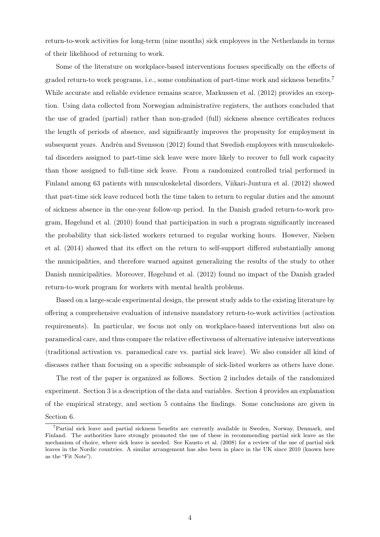return-to-work activities for long-term (nine months) sick employees in the Netherlands in terms of their likelihood of returning to work.

Some of the literature on workplace-based interventions focuses specifically on the effects of graded return-to work programs, i.e., some combination of part-time work and sickness benefits.<sup>7</sup> While accurate and reliable evidence remains scarce, Markussen et al. (2012) provides an exception. Using data collected from Norwegian administrative registers, the authors concluded that the use of graded (partial) rather than non-graded (full) sickness absence certificates reduces the length of periods of absence, and significantly improves the propensity for employment in subsequent years. Andrén and Svensson (2012) found that Swedish employees with musculoskeletal disorders assigned to part-time sick leave were more likely to recover to full work capacity than those assigned to full-time sick leave. From a randomized controlled trial performed in Finland among 63 patients with musculoskeletal disorders, Viikari-Juntura et al. (2012) showed that part-time sick leave reduced both the time taken to return to regular duties and the amount of sickness absence in the one-year follow-up period. In the Danish graded return-to-work program, Høgelund et al. (2010) found that participation in such a program significantly increased the probability that sick-listed workers returned to regular working hours. However, Nielsen et al. (2014) showed that its effect on the return to self-support differed substantially among the municipalities, and therefore warned against generalizing the results of the study to other Danish municipalities. Moreover, Høgelund et al. (2012) found no impact of the Danish graded return-to-work program for workers with mental health problems.

Based on a large-scale experimental design, the present study adds to the existing literature by offering a comprehensive evaluation of intensive mandatory return-to-work activities (activation requirements). In particular, we focus not only on workplace-based interventions but also on paramedical care, and thus compare the relative effectiveness of alternative intensive interventions (traditional activation vs. paramedical care vs. partial sick leave). We also consider all kind of diseases rather than focusing on a specific subsample of sick-listed workers as others have done.

The rest of the paper is organized as follows. Section 2 includes details of the randomized experiment. Section 3 is a description of the data and variables. Section 4 provides an explanation of the empirical strategy, and section 5 contains the findings. Some conclusions are given in Section 6.

<sup>7</sup>Partial sick leave and partial sickness benefits are currently available in Sweden, Norway, Denmark, and Finland. The authorities have strongly promoted the use of these in recommending partial sick leave as the mechanism of choice, where sick leave is needed. See Kausto et al. (2008) for a review of the use of partial sick leaves in the Nordic countries. A similar arrangement has also been in place in the UK since 2010 (known here as the "Fit Note").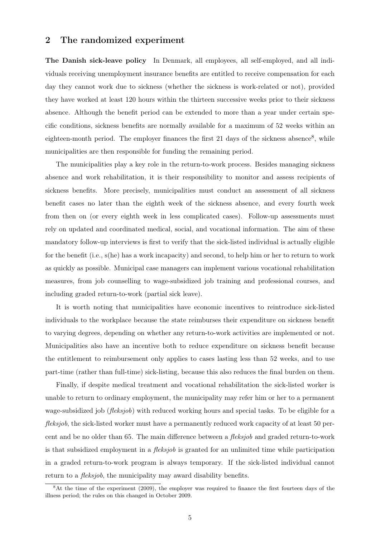#### 2 The randomized experiment

The Danish sick-leave policy In Denmark, all employees, all self-employed, and all individuals receiving unemployment insurance benefits are entitled to receive compensation for each day they cannot work due to sickness (whether the sickness is work-related or not), provided they have worked at least 120 hours within the thirteen successive weeks prior to their sickness absence. Although the benefit period can be extended to more than a year under certain specific conditions, sickness benefits are normally available for a maximum of 52 weeks within an eighteen-month period. The employer finances the first 21 days of the sickness absence<sup>8</sup>, while municipalities are then responsible for funding the remaining period.

The municipalities play a key role in the return-to-work process. Besides managing sickness absence and work rehabilitation, it is their responsibility to monitor and assess recipients of sickness benefits. More precisely, municipalities must conduct an assessment of all sickness benefit cases no later than the eighth week of the sickness absence, and every fourth week from then on (or every eighth week in less complicated cases). Follow-up assessments must rely on updated and coordinated medical, social, and vocational information. The aim of these mandatory follow-up interviews is first to verify that the sick-listed individual is actually eligible for the benefit (i.e., s(he) has a work incapacity) and second, to help him or her to return to work as quickly as possible. Municipal case managers can implement various vocational rehabilitation measures, from job counselling to wage-subsidized job training and professional courses, and including graded return-to-work (partial sick leave).

It is worth noting that municipalities have economic incentives to reintroduce sick-listed individuals to the workplace because the state reimburses their expenditure on sickness benefit to varying degrees, depending on whether any return-to-work activities are implemented or not. Municipalities also have an incentive both to reduce expenditure on sickness benefit because the entitlement to reimbursement only applies to cases lasting less than 52 weeks, and to use part-time (rather than full-time) sick-listing, because this also reduces the final burden on them.

Finally, if despite medical treatment and vocational rehabilitation the sick-listed worker is unable to return to ordinary employment, the municipality may refer him or her to a permanent wage-subsidized job (*fleksjob*) with reduced working hours and special tasks. To be eligible for a *fleksjob*, the sick-listed worker must have a permanently reduced work capacity of at least 50 percent and be no older than 65. The main difference between a *fleksjob* and graded return-to-work is that subsidized employment in a *fleksjob* is granted for an unlimited time while participation in a graded return-to-work program is always temporary. If the sick-listed individual cannot return to a *fleksjob*, the municipality may award disability benefits.

<sup>8</sup>At the time of the experiment (2009), the employer was required to finance the first fourteen days of the illness period; the rules on this changed in October 2009.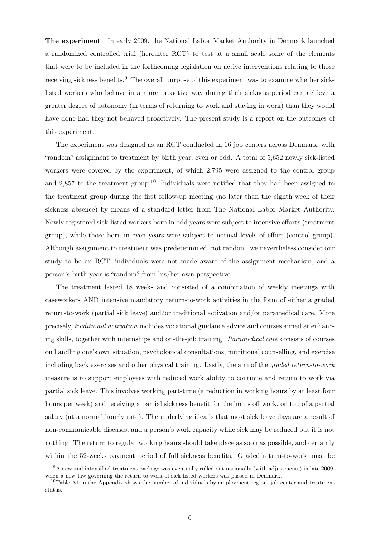The experiment In early 2009, the National Labor Market Authority in Denmark launched a randomized controlled trial (hereafter RCT) to test at a small scale some of the elements that were to be included in the forthcoming legislation on active interventions relating to those receiving sickness benefits.<sup>9</sup> The overall purpose of this experiment was to examine whether sicklisted workers who behave in a more proactive way during their sickness period can achieve a greater degree of autonomy (in terms of returning to work and staying in work) than they would have done had they not behaved proactively. The present study is a report on the outcomes of this experiment.

The experiment was designed as an RCT conducted in 16 job centers across Denmark, with "random" assignment to treatment by birth year, even or odd. A total of 5,652 newly sick-listed workers were covered by the experiment, of which 2,795 were assigned to the control group and 2,857 to the treatment group.<sup>10</sup> Individuals were notified that they had been assigned to the treatment group during the first follow-up meeting (no later than the eighth week of their sickness absence) by means of a standard letter from The National Labor Market Authority. Newly registered sick-listed workers born in odd years were subject to intensive efforts (treatment group), while those born in even years were subject to normal levels of effort (control group). Although assignment to treatment was predetermined, not random, we nevertheless consider our study to be an RCT; individuals were not made aware of the assignment mechanism, and a person's birth year is "random" from his/her own perspective.

The treatment lasted 18 weeks and consisted of a combination of weekly meetings with caseworkers AND intensive mandatory return-to-work activities in the form of either a graded return-to-work (partial sick leave) and/or traditional activation and/or paramedical care. More precisely, *traditional activation* includes vocational guidance advice and courses aimed at enhancing skills, together with internships and on-the-job training. *Paramedical care* consists of courses on handling one's own situation, psychological consultations, nutritional counselling, and exercise including back exercises and other physical training. Lastly, the aim of the *graded return-to-work* measure is to support employees with reduced work ability to continue and return to work via partial sick leave. This involves working part-time (a reduction in working hours by at least four hours per week) and receiving a partial sickness benefit for the hours off work, on top of a partial salary (at a normal hourly rate). The underlying idea is that most sick leave days are a result of non-communicable diseases, and a person's work capacity while sick may be reduced but it is not nothing. The return to regular working hours should take place as soon as possible, and certainly within the 52-weeks payment period of full sickness benefits. Graded return-to-work must be

<sup>&</sup>lt;sup>9</sup>A new and intensified treatment package was eventually rolled out nationally (with adjustments) in late 2009, when a new law governing the return-to-work of sick-listed workers was passed in Denmark.

<sup>&</sup>lt;sup>10</sup>Table A1 in the Appendix shows the number of individuals by employment region, job center and treatment status.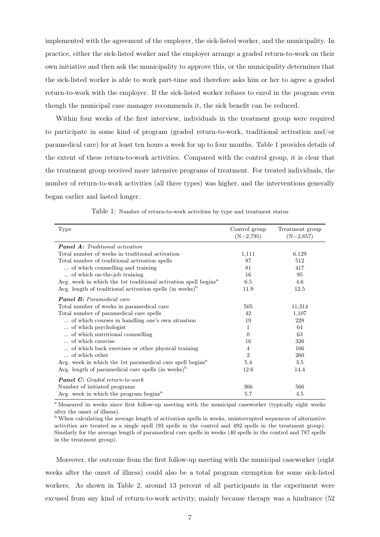implemented with the agreement of the employer, the sick-listed worker, and the municipality. In practice, either the sick-listed worker and the employer arrange a graded return-to-work on their own initiative and then ask the municipality to approve this, or the municipality determines that the sick-listed worker is able to work part-time and therefore asks him or her to agree a graded return-to-work with the employer. If the sick-listed worker refuses to enrol in the program even though the municipal case manager recommends it, the sick benefit can be reduced.

Within four weeks of the first interview, individuals in the treatment group were required to participate in some kind of program (graded return-to-work, traditional activation and/or paramedical care) for at least ten hours a week for up to four months. Table 1 provides details of the extent of these return-to-work activities. Compared with the control group, it is clear that the treatment group received more intensive programs of treatment. For treated individuals, the number of return-to-work activities (all three types) was higher, and the interventions generally began earlier and lasted longer.

| Type                                                                        | Control group<br>$(N=2,795)$ | Treatment group<br>$(N=2,857)$ |
|-----------------------------------------------------------------------------|------------------------------|--------------------------------|
| <b>Panel A:</b> Traditional activation                                      |                              |                                |
| Total number of weeks in traditional activation                             | 1,111                        | 6,129                          |
| Total number of traditional activation spells                               | 97                           | 512                            |
| of which counselling and training                                           | 81                           | 417                            |
| of which on-the-job training                                                | 16                           | 95                             |
| Avg. week in which the 1st traditional activation spell begins <sup>a</sup> | 6.5                          | 4.6                            |
| Avg. length of traditional activation spells (in weeks) <sup>b</sup>        | 11.9                         | 12.5                           |
| <b>Panel B:</b> Paramedical care                                            |                              |                                |
| Total number of weeks in paramedical care                                   | 505                          | 11,314                         |
| Total number of paramedical care spells                                     | 42                           | 1,107                          |
| of which courses in handling one's own situation                            | 19                           | 228                            |
| of which psychologist                                                       | 1                            | 64                             |
| of which nutritional counselling                                            | $\Omega$                     | 63                             |
| of which exercise                                                           | 16                           | 326                            |
| of which back exercises or other physical training                          | 4                            | 166                            |
| of which other                                                              | $\overline{2}$               | 260                            |
| Avg. week in which the 1st paramedical care spell begins <sup>a</sup>       | 5.4                          | 3.5                            |
| Avg. length of paramedical care spells (in weeks) $\rm^b$                   | 12.6                         | 14.4                           |
| <b>Panel C:</b> Graded return-to-work                                       |                              |                                |
| Number of initiated programs                                                | 366                          | 566                            |
| Avg. week in which the program begins <sup>a</sup>                          | 5.7                          | 4.5                            |

Table 1: Number of return-to-work activities by type and treatment status

<sup>a</sup> Measured in weeks since first follow-up meeting with the municipal caseworker (typically eight weeks after the onset of illness).

 $\overline{b}$  When calculating the average length of activation spells in weeks, uninterrupted sequences of alternative activities are treated as a single spell (93 spells in the control and 492 spells in the treatment group). Similarly for the average length of paramedical care spells in weeks (40 spells in the control and 787 spells in the treatment group).

Moreover, the outcome from the first follow-up meeting with the municipal caseworker (eight weeks after the onset of illness) could also be a total program exemption for some sick-listed workers. As shown in Table 2, around 13 percent of all participants in the experiment were excused from any kind of return-to-work activity, mainly because therapy was a hindrance (52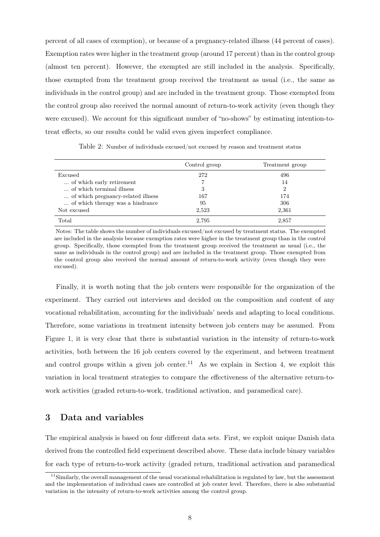percent of all cases of exemption), or because of a pregnancy-related illness (44 percent of cases). Exemption rates were higher in the treatment group (around 17 percent) than in the control group (almost ten percent). However, the exempted are still included in the analysis. Specifically, those exempted from the treatment group received the treatment as usual (i.e., the same as individuals in the control group) and are included in the treatment group. Those exempted from the control group also received the normal amount of return-to-work activity (even though they were excused). We account for this significant number of "no-shows" by estimating intention-totreat effects, so our results could be valid even given imperfect compliance.

|                                    | Control group | Treatment group |
|------------------------------------|---------------|-----------------|
| Excused                            | 272           | 496             |
| of which early retirement          |               | 14              |
| of which terminal illness          | 3             | 2               |
| of which pregnancy-related illness | 167           | 174             |
| of which therapy was a hindrance   | 95            | 306             |
| Not excused                        | 2,523         | 2,361           |
| Total                              | 2,795         | 2.857           |

Table 2: Number of individuals excused/not excused by reason and treatment status

Notes: The table shows the number of individuals excused/not excused by treatment status. The exempted are included in the analysis because exemption rates were higher in the treatment group than in the control group. Specifically, those exempted from the treatment group received the treatment as usual (i.e., the same as individuals in the control group) and are included in the treatment group. Those exempted from the control group also received the normal amount of return-to-work activity (even though they were excused).

Finally, it is worth noting that the job centers were responsible for the organization of the experiment. They carried out interviews and decided on the composition and content of any vocational rehabilitation, accounting for the individuals' needs and adapting to local conditions. Therefore, some variations in treatment intensity between job centers may be assumed. From Figure 1, it is very clear that there is substantial variation in the intensity of return-to-work activities, both between the 16 job centers covered by the experiment, and between treatment and control groups within a given job center.<sup>11</sup> As we explain in Section 4, we exploit this variation in local treatment strategies to compare the effectiveness of the alternative return-towork activities (graded return-to-work, traditional activation, and paramedical care).

#### 3 Data and variables

The empirical analysis is based on four different data sets. First, we exploit unique Danish data derived from the controlled field experiment described above. These data include binary variables for each type of return-to-work activity (graded return, traditional activation and paramedical

 $11$ Similarly, the overall management of the usual vocational rehabilitation is regulated by law, but the assessment and the implementation of individual cases are controlled at job center level. Therefore, there is also substantial variation in the intensity of return-to-work activities among the control group.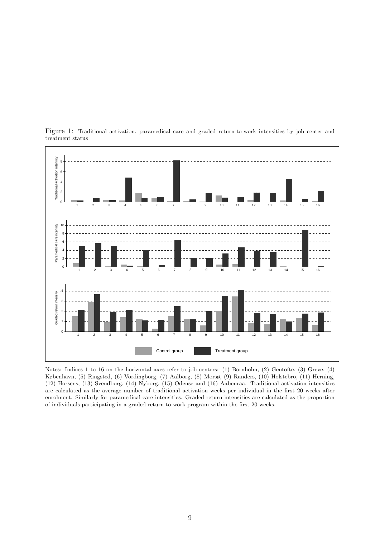

Figure 1: Traditional activation, paramedical care and graded return-to-work intensities by job center and treatment status

Notes: Indices 1 to 16 on the horizontal axes refer to job centers: (1) Bornholm, (2) Gentofte, (3) Greve, (4) København, (5) Ringsted, (6) Vordingborg, (7) Aalborg, (8) Morsø, (9) Randers, (10) Holstebro, (11) Herning, (12) Horsens, (13) Svendborg, (14) Nyborg, (15) Odense and (16) Aabenraa. Traditional activation intensities are calculated as the average number of traditional activation weeks per individual in the first 20 weeks after enrolment. Similarly for paramedical care intensities. Graded return intensities are calculated as the proportion of individuals participating in a graded return-to-work program within the first 20 weeks.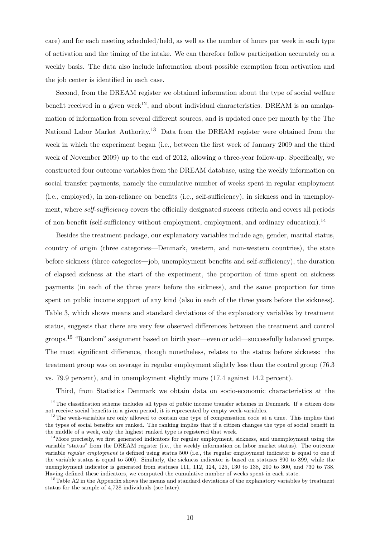care) and for each meeting scheduled/held, as well as the number of hours per week in each type of activation and the timing of the intake. We can therefore follow participation accurately on a weekly basis. The data also include information about possible exemption from activation and the job center is identified in each case.

Second, from the DREAM register we obtained information about the type of social welfare benefit received in a given week<sup>12</sup>, and about individual characteristics. DREAM is an amalgamation of information from several different sources, and is updated once per month by the The National Labor Market Authority.<sup>13</sup> Data from the DREAM register were obtained from the week in which the experiment began (i.e., between the first week of January 2009 and the third week of November 2009) up to the end of 2012, allowing a three-year follow-up. Specifically, we constructed four outcome variables from the DREAM database, using the weekly information on social transfer payments, namely the cumulative number of weeks spent in regular employment (i.e., employed), in non-reliance on benefits (i.e., self-sufficiency), in sickness and in unemployment, where *self-sufficiency* covers the officially designated success criteria and covers all periods of non-benefit (self-sufficiency without employment, employment, and ordinary education).<sup>14</sup>

Besides the treatment package, our explanatory variables include age, gender, marital status, country of origin (three categories—Denmark, western, and non-western countries), the state before sickness (three categories—job, unemployment benefits and self-sufficiency), the duration of elapsed sickness at the start of the experiment, the proportion of time spent on sickness payments (in each of the three years before the sickness), and the same proportion for time spent on public income support of any kind (also in each of the three years before the sickness). Table 3, which shows means and standard deviations of the explanatory variables by treatment status, suggests that there are very few observed differences between the treatment and control groups.<sup>15</sup> "Random" assignment based on birth year—even or odd—successfully balanced groups. The most significant difference, though nonetheless, relates to the status before sickness: the treatment group was on average in regular employment slightly less than the control group (76.3 vs. 79.9 percent), and in unemployment slightly more (17.4 against 14.2 percent).

Third, from Statistics Denmark we obtain data on socio-economic characteristics at the

<sup>&</sup>lt;sup>12</sup>The classification scheme includes all types of public income transfer schemes in Denmark. If a citizen does not receive social benefits in a given period, it is represented by empty week-variables.

<sup>&</sup>lt;sup>13</sup>The week-variables are only allowed to contain one type of compensation code at a time. This implies that the types of social benefits are ranked. The ranking implies that if a citizen changes the type of social benefit in the middle of a week, only the highest ranked type is registered that week.

<sup>&</sup>lt;sup>14</sup>More precisely, we first generated indicators for regular employment, sickness, and unemployment using the variable "status" from the DREAM register (i.e., the weekly information on labor market status). The outcome variable *regular employment* is defined using status 500 (i.e., the regular employment indicator is equal to one if the variable status is equal to 500). Similarly, the sickness indicator is based on statuses 890 to 899, while the unemployment indicator is generated from statuses 111, 112, 124, 125, 130 to 138, 200 to 300, and 730 to 738. Having defined these indicators, we computed the cumulative number of weeks spent in each state.

<sup>&</sup>lt;sup>15</sup>Table A2 in the Appendix shows the means and standard deviations of the explanatory variables by treatment status for the sample of 4,728 individuals (see later).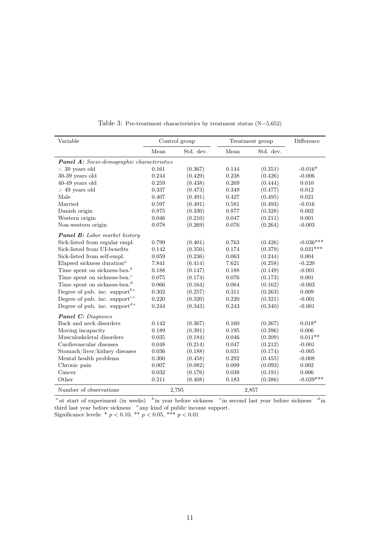| Variable                                              | Control group |           |       | Treatment group | Difference  |
|-------------------------------------------------------|---------------|-----------|-------|-----------------|-------------|
|                                                       | Mean          | Std. dev. | Mean  | Std. dev.       |             |
| <b>Panel A:</b> Socio-demographic characteristics     |               |           |       |                 |             |
| $<$ 30 years old                                      | 0.161         | (0.367)   | 0.144 | (0.351)         | $-0.016*$   |
| $30-39$ years old                                     | 0.244         | (0.429)   | 0.238 | (0.426)         | $-0.006$    |
| $40-49$ years old                                     | 0.259         | (0.438)   | 0.269 | (0.444)         | 0.010       |
| $>$ 49 years old                                      | 0.337         | (0.473)   | 0.349 | (0.477)         | 0.012       |
| Male                                                  | 0.407         | (0.491)   | 0.427 | (0.495)         | 0.021       |
| Married                                               | 0.597         | (0.491)   | 0.581 | (0.493)         | $-0.016$    |
| Danish origin                                         | 0.875         | (0.330)   | 0.877 | (0.328)         | 0.002       |
| Western origin                                        | 0.046         | (0.210)   | 0.047 | (0.211)         | 0.001       |
| Non-western origin                                    | 0.078         | (0.269)   | 0.076 | (0.264)         | $-0.003$    |
| <b>Panel B:</b> Labor market history                  |               |           |       |                 |             |
| Sick-listed from regular empl.                        | 0.799         | (0.401)   | 0.763 | (0.426)         | $-0.036***$ |
| Sick-listed from UI-benefits                          | 0.142         | (0.350)   | 0.174 | (0.379)         | $0.031***$  |
| Sick-listed from self-empl.                           | 0.059         | (0.236)   | 0.063 | (0.244)         | 0.004       |
| Elapsed sickness duration <sup><math>a</math></sup>   | 7.841         | (6.414)   | 7.621 | (6.258)         | $-0.220$    |
| Time spent on sickness-ben. <sup>b</sup>              | 0.188         | (0.147)   | 0.188 | (0.149)         | $-0.001$    |
| Time spent on sickness-ben. <sup>c</sup>              | 0.075         | (0.174)   | 0.076 | (0.173)         | 0.001       |
| Time spent on sickness-ben. <sup><math>d</math></sup> | 0.066         | (0.164)   | 0.064 | (0.162)         | $-0.003$    |
| Degree of pub. inc. support <sup>be</sup>             | 0.302         | (0.257)   | 0.311 | (0.263)         | 0.009       |
| Degree of pub. inc. support <sup>ce</sup>             | 0.220         | (0.320)   | 0.220 | (0.321)         | $-0.001$    |
| Degree of pub. inc. support $e^{de}$                  | 0.244         | (0.343)   | 0.243 | (0.340)         | $-0.001$    |
| <b>Panel C:</b> Diagnoses                             |               |           |       |                 |             |
| Back and neck disorders                               | 0.142         | (0.367)   | 0.160 | (0.367)         | $0.018*$    |
| Moving incapacity                                     | 0.189         | (0.391)   | 0.195 | (0.396)         | 0.006       |
| Musculoskeletal disorders                             | 0.035         | (0.184)   | 0.046 | (0.209)         | $0.011**$   |
| Cardiovascular diseases                               | 0.048         | (0.214)   | 0.047 | (0.212)         | $-0.001$    |
| Stomach/liver/kidney diseases                         | 0.036         | (0.188)   | 0.031 | (0.174)         | $-0.005$    |
| Mental health problems                                | 0.300         | (0.458)   | 0.292 | (0.455)         | $-0.008$    |
| Chronic pain                                          | 0.007         | (0.082)   | 0.009 | (0.093)         | 0.002       |
| Cancer                                                | 0.032         | (0.176)   | 0.038 | (0.191)         | 0.006       |
| Other                                                 | 0.211         | (0.408)   | 0.183 | (0.386)         | $-0.029***$ |
| Number of observations                                |               | 2,795     |       | 2,857           |             |

Table 3: Pre-treatment characteristics by treatment status (N=5,652)

<sup>*a*</sup> at start of experiment (in weeks) <sup>*b*</sup> in year before sickness <sup>*c*</sup> in second last year before sickness <sup>*d*</sup> in third last year before sickness *<sup>e</sup>* any kind of public income support.

Significance levels: \* *p <* 0*.*10, \*\* *p <* 0*.*05, \*\*\* *p <* 0*.*01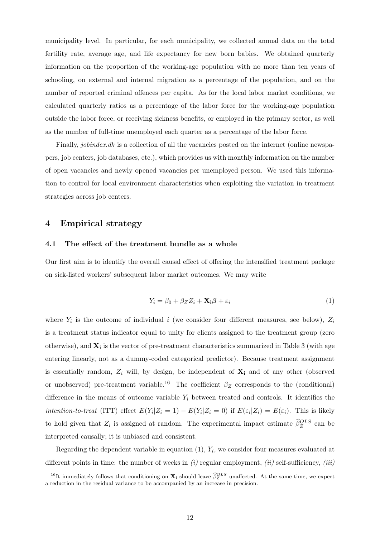municipality level. In particular, for each municipality, we collected annual data on the total fertility rate, average age, and life expectancy for new born babies. We obtained quarterly information on the proportion of the working-age population with no more than ten years of schooling, on external and internal migration as a percentage of the population, and on the number of reported criminal offences per capita. As for the local labor market conditions, we calculated quarterly ratios as a percentage of the labor force for the working-age population outside the labor force, or receiving sickness benefits, or employed in the primary sector, as well as the number of full-time unemployed each quarter as a percentage of the labor force.

Finally, *jobindex.dk* is a collection of all the vacancies posted on the internet (online newspapers, job centers, job databases, etc.), which provides us with monthly information on the number of open vacancies and newly opened vacancies per unemployed person. We used this information to control for local environment characteristics when exploiting the variation in treatment strategies across job centers.

#### 4 Empirical strategy

#### 4.1 The effect of the treatment bundle as a whole

Our first aim is to identify the overall causal effect of offering the intensified treatment package on sick-listed workers' subsequent labor market outcomes. We may write

$$
Y_i = \beta_0 + \beta_Z Z_i + \mathbf{X_i} \boldsymbol{\beta} + \varepsilon_i \tag{1}
$$

where  $Y_i$  is the outcome of individual *i* (we consider four different measures, see below),  $Z_i$ is a treatment status indicator equal to unity for clients assigned to the treatment group (zero otherwise), and **X<sup>i</sup>** is the vector of pre-treatment characteristics summarized in Table 3 (with age entering linearly, not as a dummy-coded categorical predictor). Because treatment assignment is essentially random,  $Z_i$  will, by design, be independent of  $X_i$  and of any other (observed or unobserved) pre-treatment variable.<sup>16</sup> The coefficient  $\beta_Z$  corresponds to the (conditional) difference in the means of outcome variable  $Y_i$  between treated and controls. It identifies the intention-to-treat (ITT) effect  $E(Y_i|Z_i = 1) - E(Y_i|Z_i = 0)$  if  $E(\varepsilon_i|Z_i) = E(\varepsilon_i)$ . This is likely to hold given that  $Z_i$  is assigned at random. The experimental impact estimate  $\hat{\beta}_Z^{OLS}$  can be interpreted causally; it is unbiased and consistent.

Regarding the dependent variable in equation (1), *Y<sup>i</sup>* , we consider four measures evaluated at different points in time: the number of weeks in *(i)* regular employment, *(ii)* self-sufficiency, *(iii)*

<sup>&</sup>lt;sup>16</sup>It immediately follows that conditioning on  $\mathbf{X}_i$  should leave  $\widehat{\beta}_Z^{OLS}$  unaffected. At the same time, we expect a reduction in the residual variance to be accompanied by an increase in precision.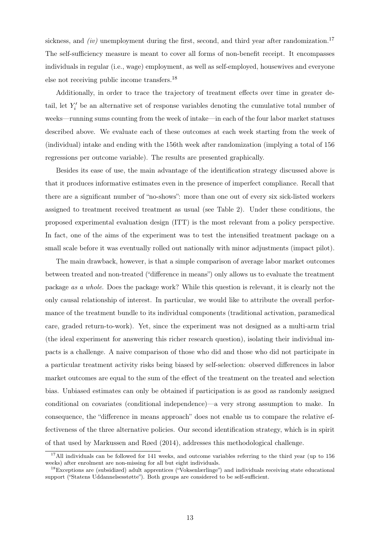sickness, and  $(iv)$  unemployment during the first, second, and third year after randomization.<sup>17</sup> The self-sufficiency measure is meant to cover all forms of non-benefit receipt. It encompasses individuals in regular (i.e., wage) employment, as well as self-employed, housewives and everyone else not receiving public income transfers.<sup>18</sup>

Additionally, in order to trace the trajectory of treatment effects over time in greater detail, let  $Y_i'$  be an alternative set of response variables denoting the cumulative total number of weeks—running sums counting from the week of intake—in each of the four labor market statuses described above. We evaluate each of these outcomes at each week starting from the week of (individual) intake and ending with the 156th week after randomization (implying a total of 156 regressions per outcome variable). The results are presented graphically.

Besides its ease of use, the main advantage of the identification strategy discussed above is that it produces informative estimates even in the presence of imperfect compliance. Recall that there are a significant number of "no-shows": more than one out of every six sick-listed workers assigned to treatment received treatment as usual (see Table 2). Under these conditions, the proposed experimental evaluation design (ITT) is the most relevant from a policy perspective. In fact, one of the aims of the experiment was to test the intensified treatment package on a small scale before it was eventually rolled out nationally with minor adjustments (impact pilot).

The main drawback, however, is that a simple comparison of average labor market outcomes between treated and non-treated ("difference in means") only allows us to evaluate the treatment package *as a whole*. Does the package work? While this question is relevant, it is clearly not the only causal relationship of interest. In particular, we would like to attribute the overall performance of the treatment bundle to its individual components (traditional activation, paramedical care, graded return-to-work). Yet, since the experiment was not designed as a multi-arm trial (the ideal experiment for answering this richer research question), isolating their individual impacts is a challenge. A naive comparison of those who did and those who did not participate in a particular treatment activity risks being biased by self-selection: observed differences in labor market outcomes are equal to the sum of the effect of the treatment on the treated and selection bias. Unbiased estimates can only be obtained if participation is as good as randomly assigned conditional on covariates (conditional independence)—a very strong assumption to make. In consequence, the "difference in means approach" does not enable us to compare the relative effectiveness of the three alternative policies. Our second identification strategy, which is in spirit of that used by Markussen and Røed (2014), addresses this methodological challenge.

<sup>&</sup>lt;sup>17</sup>All individuals can be followed for 141 weeks, and outcome variables referring to the third year (up to 156 weeks) after enrolment are non-missing for all but eight individuals.

<sup>18</sup>Exceptions are (subsidized) adult apprentices ("Voksenlærlinge") and individuals receiving state educational support ("Statens Uddannelsesstøtte"). Both groups are considered to be self-sufficient.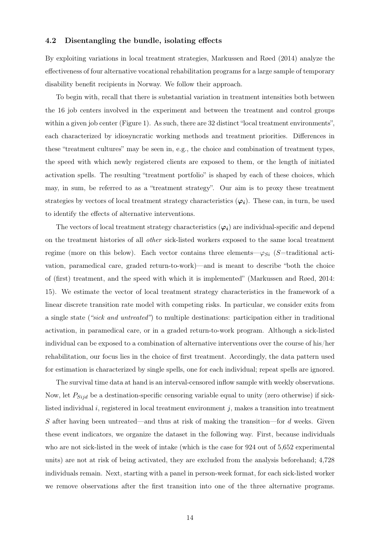#### 4.2 Disentangling the bundle, isolating effects

By exploiting variations in local treatment strategies, Markussen and Røed (2014) analyze the effectiveness of four alternative vocational rehabilitation programs for a large sample of temporary disability benefit recipients in Norway. We follow their approach.

To begin with, recall that there is substantial variation in treatment intensities both between the 16 job centers involved in the experiment and between the treatment and control groups within a given job center (Figure 1). As such, there are 32 distinct "local treatment environments", each characterized by idiosyncratic working methods and treatment priorities. Differences in these "treatment cultures" may be seen in, e.g., the choice and combination of treatment types, the speed with which newly registered clients are exposed to them, or the length of initiated activation spells. The resulting "treatment portfolio" is shaped by each of these choices, which may, in sum, be referred to as a "treatment strategy". Our aim is to proxy these treatment strategies by vectors of local treatment strategy characteristics  $(\varphi_i)$ . These can, in turn, be used to identify the effects of alternative interventions.

The vectors of local treatment strategy characteristics  $(\varphi_i)$  are individual-specific and depend on the treatment histories of all *other* sick-listed workers exposed to the same local treatment regime (more on this below). Each vector contains three elements— $\varphi_{Si}$  (*S*=traditional activation, paramedical care, graded return-to-work)—and is meant to describe "both the choice of (first) treatment, and the speed with which it is implemented" (Markussen and Røed, 2014: 15). We estimate the vector of local treatment strategy characteristics in the framework of a linear discrete transition rate model with competing risks. In particular, we consider exits from a single state (*"sick and untreated"*) to multiple destinations: participation either in traditional activation, in paramedical care, or in a graded return-to-work program. Although a sick-listed individual can be exposed to a combination of alternative interventions over the course of his/her rehabilitation, our focus lies in the choice of first treatment. Accordingly, the data pattern used for estimation is characterized by single spells, one for each individual; repeat spells are ignored.

The survival time data at hand is an interval-censored inflow sample with weekly observations. Now, let *PSijd* be a destination-specific censoring variable equal to unity (zero otherwise) if sicklisted individual *i*, registered in local treatment environment *j*, makes a transition into treatment *S* after having been untreated—and thus at risk of making the transition—for *d* weeks. Given these event indicators, we organize the dataset in the following way. First, because individuals who are not sick-listed in the week of intake (which is the case for 924 out of 5,652 experimental units) are not at risk of being activated, they are excluded from the analysis beforehand; 4,728 individuals remain. Next, starting with a panel in person-week format, for each sick-listed worker we remove observations after the first transition into one of the three alternative programs.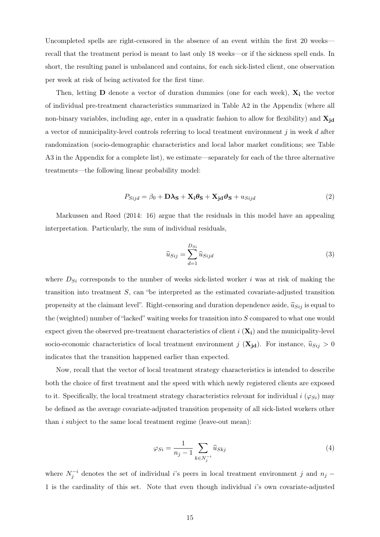Uncompleted spells are right-censored in the absence of an event within the first 20 weeks recall that the treatment period is meant to last only 18 weeks—or if the sickness spell ends. In short, the resulting panel is unbalanced and contains, for each sick-listed client, one observation per week at risk of being activated for the first time.

Then, letting **D** denote a vector of duration dummies (one for each week),  $\mathbf{X}_i$  the vector of individual pre-treatment characteristics summarized in Table A2 in the Appendix (where all non-binary variables, including age, enter in a quadratic fashion to allow for flexibility) and  $\mathbf{X}_{\text{id}}$ a vector of municipality-level controls referring to local treatment environment *j* in week *d* after randomization (socio-demographic characteristics and local labor market conditions; see Table A3 in the Appendix for a complete list), we estimate—separately for each of the three alternative treatments—the following linear probability model:

$$
P_{Sijd} = \beta_0 + \mathbf{D}\lambda_{\mathbf{S}} + \mathbf{X}_i \boldsymbol{\theta}_{\mathbf{S}} + \mathbf{X}_{jd} \boldsymbol{\vartheta}_{\mathbf{S}} + u_{Sijd} \tag{2}
$$

Markussen and Røed (2014: 16) argue that the residuals in this model have an appealing interpretation. Particularly, the sum of individual residuals,

$$
\widehat{u}_{Sij} = \sum_{d=1}^{D_{Si}} \widehat{u}_{Sijd} \tag{3}
$$

where  $D_{Si}$  corresponds to the number of weeks sick-listed worker *i* was at risk of making the transition into treatment *S*, can "be interpreted as the estimated covariate-adjusted transition propensity at the claimant level". Right-censoring and duration dependence aside,  $\hat{u}_{Sij}$  is equal to the (weighted) number of "lacked" waiting weeks for transition into *S* compared to what one would expect given the observed pre-treatment characteristics of client  $i$  ( $\mathbf{X}_i$ ) and the municipality-level socio-economic characteristics of local treatment environment *j* ( $\mathbf{X}_{jd}$ ). For instance,  $\hat{u}_{Sij} > 0$ indicates that the transition happened earlier than expected.

Now, recall that the vector of local treatment strategy characteristics is intended to describe both the choice of first treatment and the speed with which newly registered clients are exposed to it. Specifically, the local treatment strategy characteristics relevant for individual  $i (\varphi_{Si})$  may be defined as the average covariate-adjusted transition propensity of all sick-listed workers other than *i* subject to the same local treatment regime (leave-out mean):

$$
\varphi_{Si} = \frac{1}{n_j - 1} \sum_{k \in N_j^{-i}} \widehat{u}_{Skj} \tag{4}
$$

where  $N_j^{-i}$  denotes the set of individual *i*'s peers in local treatment environment *j* and  $n_j$  – 1 is the cardinality of this set. Note that even though individual *i*'s own covariate-adjusted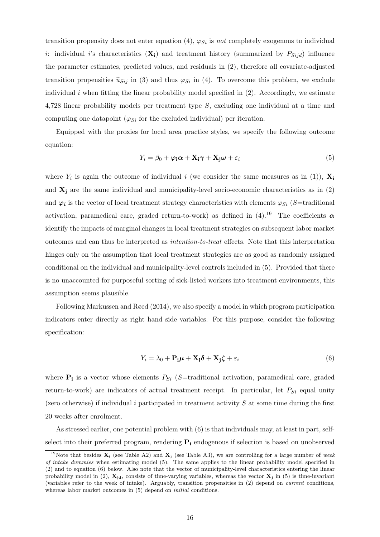transition propensity does not enter equation (4),  $\varphi_{S_i}$  is *not* completely exogenous to individual *i*: individual *i*'s characteristics  $(X_i)$  and treatment history (summarized by  $P_{Sijd}$ ) influence the parameter estimates, predicted values, and residuals in (2), therefore all covariate-adjusted transition propensities  $\hat{u}_{Sij}$  in (3) and thus  $\varphi_{Si}$  in (4). To overcome this problem, we exclude individual  $i$  when fitting the linear probability model specified in  $(2)$ . Accordingly, we estimate 4,728 linear probability models per treatment type *S*, excluding one individual at a time and computing one datapoint ( $\varphi_{Si}$  for the excluded individual) per iteration.

Equipped with the proxies for local area practice styles, we specify the following outcome equation:

$$
Y_i = \beta_0 + \varphi_i \alpha + \mathbf{X}_i \gamma + \mathbf{X}_j \omega + \varepsilon_i
$$
\n<sup>(5)</sup>

where  $Y_i$  is again the outcome of individual *i* (we consider the same measures as in (1)),  $\mathbf{X}_i$ and  $X_j$  are the same individual and municipality-level socio-economic characteristics as in  $(2)$ and  $\varphi_i$  is the vector of local treatment strategy characteristics with elements  $\varphi_{Si}$  (*S*=traditional activation, paramedical care, graded return-to-work) as defined in  $(4)$ .<sup>19</sup> The coefficients  $\alpha$ identify the impacts of marginal changes in local treatment strategies on subsequent labor market outcomes and can thus be interpreted as *intention-to-treat* effects. Note that this interpretation hinges only on the assumption that local treatment strategies are as good as randomly assigned conditional on the individual and municipality-level controls included in (5). Provided that there is no unaccounted for purposeful sorting of sick-listed workers into treatment environments, this assumption seems plausible.

Following Markussen and Røed (2014), we also specify a model in which program participation indicators enter directly as right hand side variables. For this purpose, consider the following specification:

$$
Y_i = \lambda_0 + \mathbf{P}_i \boldsymbol{\mu} + \mathbf{X}_i \boldsymbol{\delta} + \mathbf{X}_j \boldsymbol{\zeta} + \varepsilon_i
$$
\n(6)

where  $P_i$  is a vector whose elements  $P_{Si}$  (*S*=traditional activation, paramedical care, graded return-to-work) are indicators of actual treatment receipt. In particular, let *PSi* equal unity (zero otherwise) if individual *i* participated in treatment activity *S* at some time during the first 20 weeks after enrolment.

As stressed earlier, one potential problem with (6) is that individuals may, at least in part, selfselect into their preferred program, rendering **P<sup>i</sup>** endogenous if selection is based on unobserved

<sup>19</sup>Note that besides **X<sup>i</sup>** (see Table A2) and **X<sup>j</sup>** (see Table A3), we are controlling for a large number of *week of intake dummies* when estimating model (5). The same applies to the linear probability model specified in (2) and to equation (6) below. Also note that the vector of municipality-level characteristics entering the linear probability model in  $(2)$ ,  $\mathbf{X}_{id}$ , consists of time-varying variables, whereas the vector  $\mathbf{X}_i$  in  $(5)$  is time-invariant (variables refer to the week of intake). Arguably, transition propensities in (2) depend on *current* conditions, whereas labor market outcomes in (5) depend on *initial* conditions.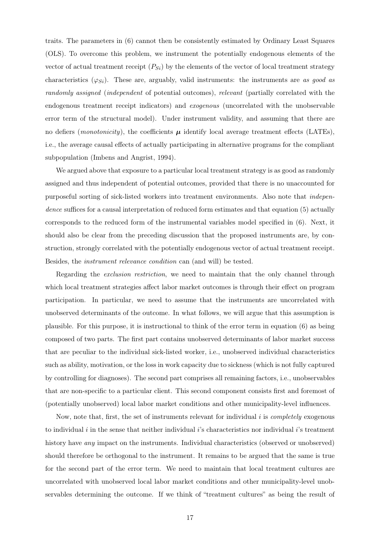traits. The parameters in (6) cannot then be consistently estimated by Ordinary Least Squares (OLS). To overcome this problem, we instrument the potentially endogenous elements of the vector of actual treatment receipt  $(P_{Si})$  by the elements of the vector of local treatment strategy characteristics  $(\varphi_{Si})$ . These are, arguably, valid instruments: the instruments are *as good as randomly assigned* (*independent* of potential outcomes), *relevant* (partially correlated with the endogenous treatment receipt indicators) and *exogenous* (uncorrelated with the unobservable error term of the structural model). Under instrument validity, and assuming that there are no defiers (*monotonicity*), the coefficients  $\mu$  identify local average treatment effects (LATEs), i.e., the average causal effects of actually participating in alternative programs for the compliant subpopulation (Imbens and Angrist, 1994).

We argued above that exposure to a particular local treatment strategy is as good as randomly assigned and thus independent of potential outcomes, provided that there is no unaccounted for purposeful sorting of sick-listed workers into treatment environments. Also note that *independence* suffices for a causal interpretation of reduced form estimates and that equation (5) actually corresponds to the reduced form of the instrumental variables model specified in (6). Next, it should also be clear from the preceding discussion that the proposed instruments are, by construction, strongly correlated with the potentially endogenous vector of actual treatment receipt. Besides, the *instrument relevance condition* can (and will) be tested.

Regarding the *exclusion restriction*, we need to maintain that the only channel through which local treatment strategies affect labor market outcomes is through their effect on program participation. In particular, we need to assume that the instruments are uncorrelated with unobserved determinants of the outcome. In what follows, we will argue that this assumption is plausible. For this purpose, it is instructional to think of the error term in equation (6) as being composed of two parts. The first part contains unobserved determinants of labor market success that are peculiar to the individual sick-listed worker, i.e., unobserved individual characteristics such as ability, motivation, or the loss in work capacity due to sickness (which is not fully captured by controlling for diagnoses). The second part comprises all remaining factors, i.e., unobservables that are non-specific to a particular client. This second component consists first and foremost of (potentially unobserved) local labor market conditions and other municipality-level influences.

Now, note that, first, the set of instruments relevant for individual *i* is *completely* exogenous to individual *i* in the sense that neither individual *i*'s characteristics nor individual *i*'s treatment history have *any* impact on the instruments. Individual characteristics (observed or unobserved) should therefore be orthogonal to the instrument. It remains to be argued that the same is true for the second part of the error term. We need to maintain that local treatment cultures are uncorrelated with unobserved local labor market conditions and other municipality-level unobservables determining the outcome. If we think of "treatment cultures" as being the result of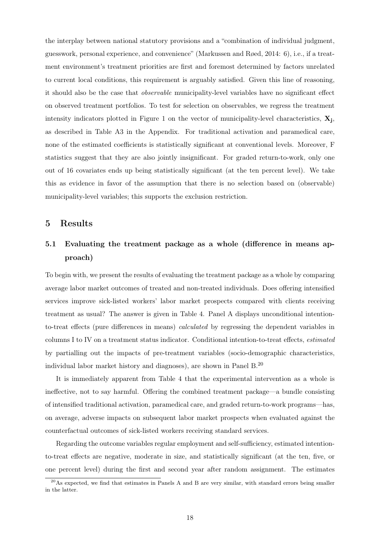the interplay between national statutory provisions and a "combination of individual judgment, guesswork, personal experience, and convenience" (Markussen and Røed, 2014: 6), i.e., if a treatment environment's treatment priorities are first and foremost determined by factors unrelated to current local conditions, this requirement is arguably satisfied. Given this line of reasoning, it should also be the case that *observable* municipality-level variables have no significant effect on observed treatment portfolios. To test for selection on observables, we regress the treatment intensity indicators plotted in Figure 1 on the vector of municipality-level characteristics, **X<sup>j</sup>** , as described in Table A3 in the Appendix. For traditional activation and paramedical care, none of the estimated coefficients is statistically significant at conventional levels. Moreover, F statistics suggest that they are also jointly insignificant. For graded return-to-work, only one out of 16 covariates ends up being statistically significant (at the ten percent level). We take this as evidence in favor of the assumption that there is no selection based on (observable) municipality-level variables; this supports the exclusion restriction.

#### 5 Results

### 5.1 Evaluating the treatment package as a whole (difference in means approach)

To begin with, we present the results of evaluating the treatment package as a whole by comparing average labor market outcomes of treated and non-treated individuals. Does offering intensified services improve sick-listed workers' labor market prospects compared with clients receiving treatment as usual? The answer is given in Table 4. Panel A displays unconditional intentionto-treat effects (pure differences in means) *calculated* by regressing the dependent variables in columns I to IV on a treatment status indicator. Conditional intention-to-treat effects, *estimated* by partialling out the impacts of pre-treatment variables (socio-demographic characteristics, individual labor market history and diagnoses), are shown in Panel B.<sup>20</sup>

It is immediately apparent from Table 4 that the experimental intervention as a whole is ineffective, not to say harmful. Offering the combined treatment package—a bundle consisting of intensified traditional activation, paramedical care, and graded return-to-work programs—has, on average, adverse impacts on subsequent labor market prospects when evaluated against the counterfactual outcomes of sick-listed workers receiving standard services.

Regarding the outcome variables regular employment and self-sufficiency, estimated intentionto-treat effects are negative, moderate in size, and statistically significant (at the ten, five, or one percent level) during the first and second year after random assignment. The estimates

<sup>&</sup>lt;sup>20</sup>As expected, we find that estimates in Panels A and B are very similar, with standard errors being smaller in the latter.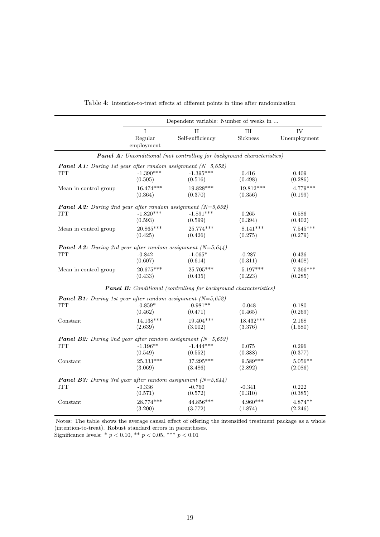|                                                                      |                                  | Dependent variable: Number of weeks in                                         |            |                    |
|----------------------------------------------------------------------|----------------------------------|--------------------------------------------------------------------------------|------------|--------------------|
|                                                                      | $\bf I$<br>Regular<br>employment | $_{\rm II}$<br>III<br>Self-sufficiency<br>Sickness                             |            | IV<br>Unemployment |
|                                                                      |                                  | <b>Panel A:</b> Unconditional (not controlling for background characteristics) |            |                    |
| <b>Panel A1:</b> During 1st year after random assignment $(N=5,652)$ | $-1.390***$                      | $-1.395***$                                                                    | 0.416      | 0.409              |
| <b>ITT</b>                                                           | (0.505)                          | (0.516)                                                                        | (0.498)    | (0.286)            |
| Mean in control group                                                | $16.474***$                      | 19.828***                                                                      | 19.812***  | $4.779***$         |
|                                                                      | (0.364)                          | (0.370)                                                                        | (0.356)    | (0.199)            |
| <b>Panel A2:</b> During 2nd year after random assignment $(N=5,652)$ | $-1.820***$                      | $-1.891***$                                                                    | 0.265      | 0.586              |
| <b>ITT</b>                                                           | (0.593)                          | (0.599)                                                                        | (0.394)    | (0.402)            |
| Mean in control group                                                | 20.865***                        | 25.774***                                                                      | $8.141***$ | $7.545***$         |
|                                                                      | (0.425)                          | (0.426)                                                                        | (0.275)    | (0.279)            |
| <b>Panel A3:</b> During 3rd year after random assignment $(N=5.644)$ | $-0.842$                         | $-1.065*$                                                                      | $-0.287$   | 0.436              |
| <b>ITT</b>                                                           | (0.607)                          | (0.614)                                                                        | (0.311)    | (0.408)            |
| Mean in control group                                                | 20.675***                        | 25.705***                                                                      | $5.197***$ | $7.366***$         |
|                                                                      | (0.433)                          | (0.435)                                                                        | (0.223)    | (0.285)            |
|                                                                      |                                  | <b>Panel B:</b> Conditional (controlling for background characteristics)       |            |                    |
| <b>Panel B1:</b> During 1st year after random assignment $(N=5,652)$ | $-0.859*$                        | $-0.981**$                                                                     | $-0.048$   | 0.180              |
| <b>ITT</b>                                                           | (0.462)                          | (0.471)                                                                        | (0.465)    | (0.269)            |
| Constant                                                             | 14.138***                        | $19.404***$                                                                    | 18.432***  | 2.168              |
|                                                                      | (2.639)                          | (3.002)                                                                        | (3.376)    | (1.580)            |
| <b>Panel B2:</b> During 2nd year after random assignment $(N=5,652)$ |                                  |                                                                                |            |                    |
| <b>ITT</b>                                                           | $-1.196**$                       | $-1.444***$                                                                    | 0.075      | 0.296              |
|                                                                      | (0.549)                          | (0.552)                                                                        | (0.388)    | (0.377)            |
| Constant                                                             | 25.333***                        | 37.295***                                                                      | $9.589***$ | $5.056**$          |
|                                                                      | (3.069)                          | (3.486)                                                                        | (2.892)    | (2.086)            |
| <b>Panel B3:</b> During 3rd year after random assignment $(N=5.644)$ | $-0.336$                         | $-0.760$                                                                       | $-0.341$   | 0.222              |
| <b>ITT</b>                                                           | (0.571)                          | (0.572)                                                                        | (0.310)    | (0.385)            |
| Constant                                                             | 28.774***                        | $44.856***$                                                                    | $4.960***$ | $4.874**$          |
|                                                                      | (3.200)                          | (3.772)                                                                        | (1.874)    | (2.246)            |

| Table 4: Intention-to-treat effects at different points in time after randomization |  |
|-------------------------------------------------------------------------------------|--|
|-------------------------------------------------------------------------------------|--|

Notes: The table shows the average causal effect of offering the intensified treatment package as a whole (intention-to-treat). Robust standard errors in parentheses.

Significance levels: \* *p <* 0*.*10, \*\* *p <* 0*.*05, \*\*\* *p <* 0*.*01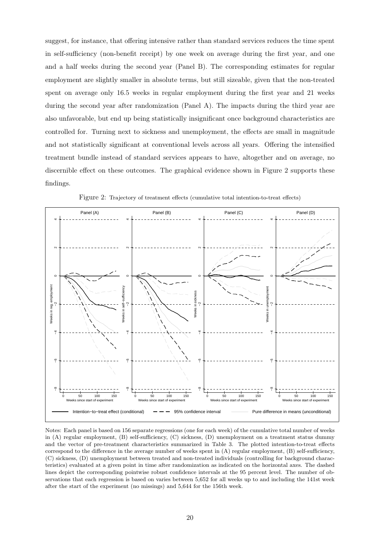suggest, for instance, that offering intensive rather than standard services reduces the time spent in self-sufficiency (non-benefit receipt) by one week on average during the first year, and one and a half weeks during the second year (Panel B). The corresponding estimates for regular employment are slightly smaller in absolute terms, but still sizeable, given that the non-treated spent on average only 16.5 weeks in regular employment during the first year and 21 weeks during the second year after randomization (Panel A). The impacts during the third year are also unfavorable, but end up being statistically insignificant once background characteristics are controlled for. Turning next to sickness and unemployment, the effects are small in magnitude and not statistically significant at conventional levels across all years. Offering the intensified treatment bundle instead of standard services appears to have, altogether and on average, no discernible effect on these outcomes. The graphical evidence shown in Figure 2 supports these findings.



Figure 2: Trajectory of treatment effects (cumulative total intention-to-treat effects)

Notes: Each panel is based on 156 separate regressions (one for each week) of the cumulative total number of weeks in (A) regular employment, (B) self-sufficiency, (C) sickness, (D) unemployment on a treatment status dummy and the vector of pre-treatment characteristics summarized in Table 3. The plotted intention-to-treat effects correspond to the difference in the average number of weeks spent in  $(A)$  regular employment,  $(B)$  self-sufficiency, (C) sickness, (D) unemployment between treated and non-treated individuals (controlling for background characteristics) evaluated at a given point in time after randomization as indicated on the horizontal axes. The dashed lines depict the corresponding pointwise robust confidence intervals at the 95 percent level. The number of observations that each regression is based on varies between 5,652 for all weeks up to and including the 141st week after the start of the experiment (no missings) and 5,644 for the 156th week.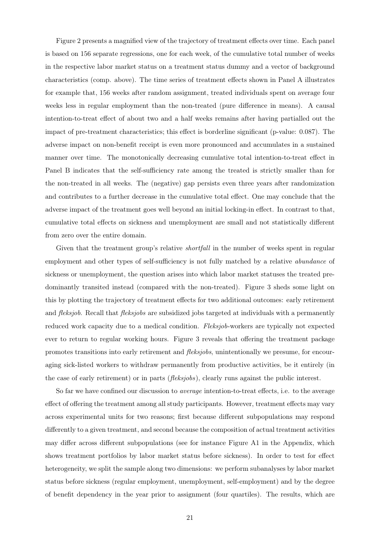Figure 2 presents a magnified view of the trajectory of treatment effects over time. Each panel is based on 156 separate regressions, one for each week, of the cumulative total number of weeks in the respective labor market status on a treatment status dummy and a vector of background characteristics (comp. above). The time series of treatment effects shown in Panel A illustrates for example that, 156 weeks after random assignment, treated individuals spent on average four weeks less in regular employment than the non-treated (pure difference in means). A causal intention-to-treat effect of about two and a half weeks remains after having partialled out the impact of pre-treatment characteristics; this effect is borderline significant (p-value: 0.087). The adverse impact on non-benefit receipt is even more pronounced and accumulates in a sustained manner over time. The monotonically decreasing cumulative total intention-to-treat effect in Panel B indicates that the self-sufficiency rate among the treated is strictly smaller than for the non-treated in all weeks. The (negative) gap persists even three years after randomization and contributes to a further decrease in the cumulative total effect. One may conclude that the adverse impact of the treatment goes well beyond an initial locking-in effect. In contrast to that, cumulative total effects on sickness and unemployment are small and not statistically different from zero over the entire domain.

Given that the treatment group's relative *shortfall* in the number of weeks spent in regular employment and other types of self-sufficiency is not fully matched by a relative *abundance* of sickness or unemployment, the question arises into which labor market statuses the treated predominantly transited instead (compared with the non-treated). Figure 3 sheds some light on this by plotting the trajectory of treatment effects for two additional outcomes: early retirement and *fleksjob*. Recall that *fleksjobs* are subsidized jobs targeted at individuals with a permanently reduced work capacity due to a medical condition. *Fleksjob*-workers are typically not expected ever to return to regular working hours. Figure 3 reveals that offering the treatment package promotes transitions into early retirement and *fleksjobs*, unintentionally we presume, for encouraging sick-listed workers to withdraw permanently from productive activities, be it entirely (in the case of early retirement) or in parts (*fleksjobs*), clearly runs against the public interest.

So far we have confined our discussion to *average* intention-to-treat effects, i.e. to the average effect of offering the treatment among all study participants. However, treatment effects may vary across experimental units for two reasons; first because different subpopulations may respond differently to a given treatment, and second because the composition of actual treatment activities may differ across different subpopulations (see for instance Figure A1 in the Appendix, which shows treatment portfolios by labor market status before sickness). In order to test for effect heterogeneity, we split the sample along two dimensions: we perform subanalyses by labor market status before sickness (regular employment, unemployment, self-employment) and by the degree of benefit dependency in the year prior to assignment (four quartiles). The results, which are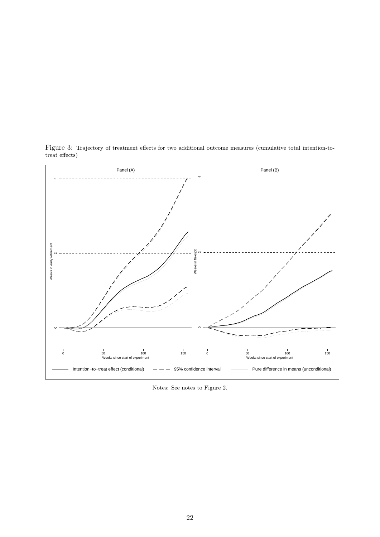

Figure 3: Trajectory of treatment effects for two additional outcome measures (cumulative total intention-totreat effects)

Notes: See notes to Figure 2.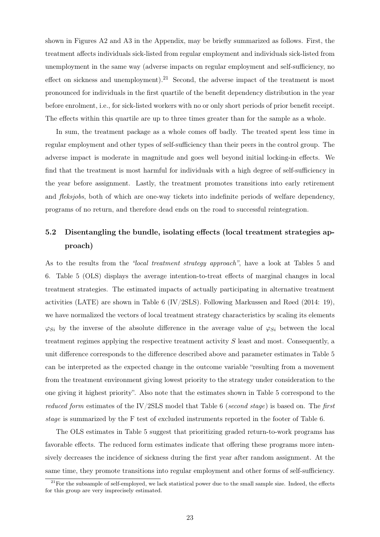shown in Figures A2 and A3 in the Appendix, may be briefly summarized as follows. First, the treatment affects individuals sick-listed from regular employment and individuals sick-listed from unemployment in the same way (adverse impacts on regular employment and self-sufficiency, no effect on sickness and unemployment).<sup>21</sup> Second, the adverse impact of the treatment is most pronounced for individuals in the first quartile of the benefit dependency distribution in the year before enrolment, i.e., for sick-listed workers with no or only short periods of prior benefit receipt. The effects within this quartile are up to three times greater than for the sample as a whole.

In sum, the treatment package as a whole comes off badly. The treated spent less time in regular employment and other types of self-sufficiency than their peers in the control group. The adverse impact is moderate in magnitude and goes well beyond initial locking-in effects. We find that the treatment is most harmful for individuals with a high degree of self-sufficiency in the year before assignment. Lastly, the treatment promotes transitions into early retirement and *fleksjobs*, both of which are one-way tickets into indefinite periods of welfare dependency, programs of no return, and therefore dead ends on the road to successful reintegration.

### 5.2 Disentangling the bundle, isolating effects (local treatment strategies approach)

As to the results from the *"local treatment strategy approach"*, have a look at Tables 5 and 6. Table 5 (OLS) displays the average intention-to-treat effects of marginal changes in local treatment strategies. The estimated impacts of actually participating in alternative treatment activities (LATE) are shown in Table 6 (IV/2SLS). Following Markussen and Røed (2014: 19), we have normalized the vectors of local treatment strategy characteristics by scaling its elements  $\varphi_{Si}$  by the inverse of the absolute difference in the average value of  $\varphi_{Si}$  between the local treatment regimes applying the respective treatment activity *S* least and most. Consequently, a unit difference corresponds to the difference described above and parameter estimates in Table 5 can be interpreted as the expected change in the outcome variable "resulting from a movement from the treatment environment giving lowest priority to the strategy under consideration to the one giving it highest priority". Also note that the estimates shown in Table 5 correspond to the *reduced form* estimates of the IV/2SLS model that Table 6 (*second stage*) is based on. The *first stage* is summarized by the F test of excluded instruments reported in the footer of Table 6.

The OLS estimates in Table 5 suggest that prioritizing graded return-to-work programs has favorable effects. The reduced form estimates indicate that offering these programs more intensively decreases the incidence of sickness during the first year after random assignment. At the same time, they promote transitions into regular employment and other forms of self-sufficiency.

 $21$  For the subsample of self-employed, we lack statistical power due to the small sample size. Indeed, the effects for this group are very imprecisely estimated.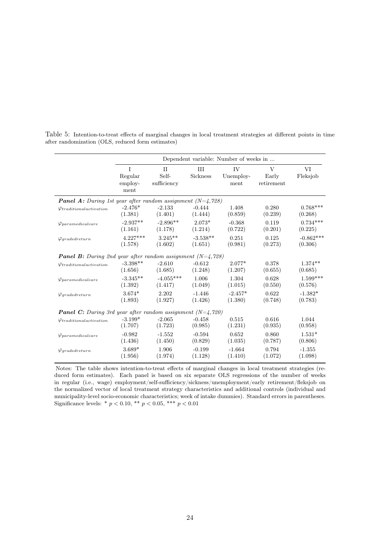|                                                                      |                                 |                            |               | Dependent variable: Number of weeks in |                          |                |
|----------------------------------------------------------------------|---------------------------------|----------------------------|---------------|----------------------------------------|--------------------------|----------------|
|                                                                      | I<br>Regular<br>employ-<br>ment | II<br>Self-<br>sufficiency | H<br>Sickness | IV<br>Unemploy-<br>ment                | V<br>Early<br>retirement | VI<br>Fleksjob |
| <b>Panel A:</b> During 1st year after random assignment $(N=4, 728)$ |                                 |                            |               |                                        |                          |                |
| $\varphi_{traditional activation}$                                   | $-2.476*$                       | $-2.133$                   | $-0.444$      | 1.408                                  | 0.280                    | $0.768***$     |
|                                                                      | (1.381)                         | (1.401)                    | (1.444)       | (0.859)                                | (0.239)                  | (0.268)        |
| $\varphi$ <i>paramedicalcare</i>                                     | $-2.937**$                      | $-2.896**$                 | $2.073*$      | $-0.368$                               | 0.119                    | $0.734***$     |
|                                                                      | (1.161)                         | (1.178)                    | (1.214)       | (0.722)                                | (0.201)                  | (0.225)        |
| $\varphi$ <sub>gradedreturn</sub>                                    | $4.227***$                      | $3.245**$                  | $-3.538**$    | 0.251                                  | 0.125                    | $-0.862***$    |
|                                                                      | (1.578)                         | (1.602)                    | (1.651)       | (0.981)                                | (0.273)                  | (0.306)        |
| <b>Panel B:</b> During 2nd year after random assignment $(N=4,728)$  |                                 |                            |               |                                        |                          |                |
| $\varphi_{traditionalactic}$                                         | $-3.398**$                      | $-2.610$                   | $-0.612$      | $2.077*$                               | 0.378                    | $1.374**$      |
|                                                                      | (1.656)                         | (1.685)                    | (1.248)       | (1.207)                                | (0.655)                  | (0.685)        |
| $\varphi_{parameter}$                                                | $-3.345**$                      | $-4.055***$                | 1.006         | 1.304                                  | 0.628                    | $1.599***$     |
|                                                                      | (1.392)                         | (1.417)                    | (1.049)       | (1.015)                                | (0.550)                  | (0.576)        |
| $\varphi$ <sub>gradedreturn</sub>                                    | $3.674*$                        | 2.202                      | $-1.446$      | $-2.457*$                              | 0.622                    | $-1.382*$      |
|                                                                      | (1.893)                         | (1.927)                    | (1.426)       | (1.380)                                | (0.748)                  | (0.783)        |
| <b>Panel C:</b> During 3rd year after random assignment $(N=4,720)$  |                                 |                            |               |                                        |                          |                |
| $\varphi_{traditional activation}$                                   | $-3.199*$                       | $-2.065$                   | $-0.458$      | 0.515                                  | 0.616                    | 1.044          |
|                                                                      | (1.707)                         | (1.723)                    | (0.985)       | (1.231)                                | (0.935)                  | (0.958)        |
| $\varphi_{parameter}$                                                | $-0.982$                        | $-1.552$                   | $-0.594$      | 0.652                                  | 0.860                    | $1.531*$       |
|                                                                      | (1.436)                         | (1.450)                    | (0.829)       | (1.035)                                | (0.787)                  | (0.806)        |
| $\varphi$ gradedreturn                                               | 3.689*                          | 1.906                      | $-0.199$      | $-1.664$                               | 0.794                    | $-1.355$       |
|                                                                      | (1.956)                         | (1.974)                    | (1.128)       | (1.410)                                | (1.072)                  | (1.098)        |

Table 5: Intention-to-treat effects of marginal changes in local treatment strategies at different points in time after randomization (OLS, reduced form estimates)

Notes: The table shows intention-to-treat effects of marginal changes in local treatment strategies (reduced form estimates). Each panel is based on six separate OLS regressions of the number of weeks in regular (i.e., wage) employment/self-sufficiency/sickness/unemployment/early retirement/fleksjob on the normalized vector of local treatment strategy characteristics and additional controls (individual and municipality-level socio-economic characteristics; week of intake dummies). Standard errors in parentheses. Significance levels: \*  $p < 0.10$ , \*\*  $p < 0.05$ , \*\*\*  $p < 0.01$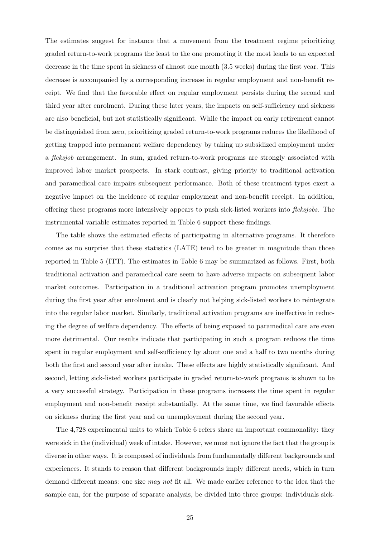The estimates suggest for instance that a movement from the treatment regime prioritizing graded return-to-work programs the least to the one promoting it the most leads to an expected decrease in the time spent in sickness of almost one month (3.5 weeks) during the first year. This decrease is accompanied by a corresponding increase in regular employment and non-benefit receipt. We find that the favorable effect on regular employment persists during the second and third year after enrolment. During these later years, the impacts on self-sufficiency and sickness are also beneficial, but not statistically significant. While the impact on early retirement cannot be distinguished from zero, prioritizing graded return-to-work programs reduces the likelihood of getting trapped into permanent welfare dependency by taking up subsidized employment under a *fleksjob* arrangement. In sum, graded return-to-work programs are strongly associated with improved labor market prospects. In stark contrast, giving priority to traditional activation and paramedical care impairs subsequent performance. Both of these treatment types exert a negative impact on the incidence of regular employment and non-benefit receipt. In addition, offering these programs more intensively appears to push sick-listed workers into *fleksjobs*. The instrumental variable estimates reported in Table 6 support these findings.

The table shows the estimated effects of participating in alternative programs. It therefore comes as no surprise that these statistics (LATE) tend to be greater in magnitude than those reported in Table 5 (ITT). The estimates in Table 6 may be summarized as follows. First, both traditional activation and paramedical care seem to have adverse impacts on subsequent labor market outcomes. Participation in a traditional activation program promotes unemployment during the first year after enrolment and is clearly not helping sick-listed workers to reintegrate into the regular labor market. Similarly, traditional activation programs are ineffective in reducing the degree of welfare dependency. The effects of being exposed to paramedical care are even more detrimental. Our results indicate that participating in such a program reduces the time spent in regular employment and self-sufficiency by about one and a half to two months during both the first and second year after intake. These effects are highly statistically significant. And second, letting sick-listed workers participate in graded return-to-work programs is shown to be a very successful strategy. Participation in these programs increases the time spent in regular employment and non-benefit receipt substantially. At the same time, we find favorable effects on sickness during the first year and on unemployment during the second year.

The 4,728 experimental units to which Table 6 refers share an important commonality: they were sick in the (individual) week of intake. However, we must not ignore the fact that the group is diverse in other ways. It is composed of individuals from fundamentally different backgrounds and experiences. It stands to reason that different backgrounds imply different needs, which in turn demand different means: one size *may not* fit all. We made earlier reference to the idea that the sample can, for the purpose of separate analysis, be divided into three groups: individuals sick-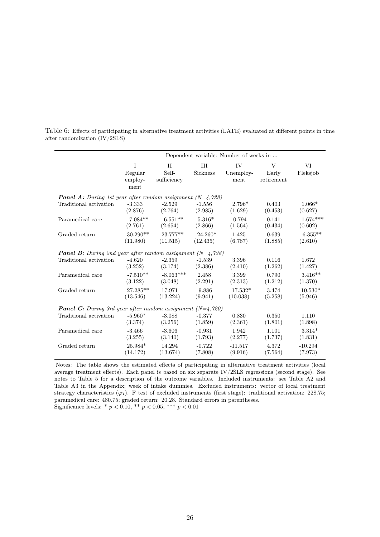|                                                                      | Dependent variable: Number of weeks in |                                      |                 |                          |                          |                |
|----------------------------------------------------------------------|----------------------------------------|--------------------------------------|-----------------|--------------------------|--------------------------|----------------|
|                                                                      | T<br>Regular<br>employ-<br>ment        | $\mathbf{H}$<br>Self-<br>sufficiency | III<br>Sickness | IV.<br>Unemploy-<br>ment | V<br>Early<br>retirement | VI<br>Fleksjob |
| <b>Panel A:</b> During 1st year after random assignment $(N=4, 728)$ |                                        |                                      |                 |                          |                          |                |
| Traditional activation                                               | $-3.333$                               | $-2.529$                             | $-1.556$        | $2.796*$                 | 0.403                    | $1.066*$       |
|                                                                      | (2.876)                                | (2.764)                              | (2.985)         | (1.629)                  | (0.453)                  | (0.627)        |
| Paramedical care                                                     | $-7.084**$                             | $-6.551**$                           | $5.316*$        | $-0.794$                 | 0.141                    | $1.674***$     |
|                                                                      | (2.761)                                | (2.654)                              | (2.866)         | (1.564)                  | (0.434)                  | (0.602)        |
| Graded return                                                        | $30.290**$                             | 23.777**                             | $-24.260*$      | 1.425                    | 0.639                    | $-6.355**$     |
|                                                                      | (11.980)                               | (11.515)                             | (12.435)        | (6.787)                  | (1.885)                  | (2.610)        |
| <b>Panel B:</b> During 2nd year after random assignment $(N=4,728)$  |                                        |                                      |                 |                          |                          |                |
| Traditional activation                                               | $-4.620$                               | $-2.359$                             | $-1.539$        | 3.396                    | 0.116                    | 1.672          |
|                                                                      | (3.252)                                | (3.174)                              | (2.386)         | (2.410)                  | (1.262)                  | (1.427)        |
| Paramedical care                                                     | $-7.510**$                             | $-8.063***$                          | 2.458           | 3.399                    | 0.790                    | $3.416**$      |
|                                                                      | (3.122)                                | (3.048)                              | (2.291)         | (2.313)                  | (1.212)                  | (1.370)        |
| Graded return                                                        | 27.285**                               | 17.971                               | $-9.886$        | $-17.532*$               | 3.474                    | $-10.530*$     |
|                                                                      | (13.546)                               | (13.224)                             | (9.941)         | (10.038)                 | (5.258)                  | (5.946)        |
| <b>Panel C:</b> During 3rd year after random assignment $(N=4,720)$  |                                        |                                      |                 |                          |                          |                |
| Traditional activation                                               | $-5.960*$                              | $-3.088$                             | $-0.377$        | 0.830                    | 0.350                    | 1.110          |
|                                                                      | (3.374)                                | (3.256)                              | (1.859)         | (2.361)                  | (1.801)                  | (1.898)        |
| Paramedical care                                                     | $-3.466$                               | $-3.606$                             | $-0.931$        | 1.942                    | 1.101                    | $3.314*$       |
|                                                                      | (3.255)                                | (3.140)                              | (1.793)         | (2.277)                  | (1.737)                  | (1.831)        |
| Graded return                                                        | 25.984*                                | 14.294                               | $-0.722$        | $-11.517$                | 4.372                    | $-10.294$      |
|                                                                      | (14.172)                               | (13.674)                             | (7.808)         | (9.916)                  | (7.564)                  | (7.973)        |

Table 6: Effects of participating in alternative treatment activities (LATE) evaluated at different points in time after randomization (IV/2SLS)

Notes: The table shows the estimated effects of participating in alternative treatment activities (local average treatment effects). Each panel is based on six separate IV/2SLS regressions (second stage). See notes to Table 5 for a description of the outcome variables. Included instruments: see Table A2 and Table A3 in the Appendix; week of intake dummies. Excluded instruments: vector of local treatment strategy characteristics  $(\varphi_i)$ . F test of excluded instruments (first stage): traditional activation: 228.75; paramedical care: 480.75; graded return: 20.28. Standard errors in parentheses. Significance levels: \* $p < 0.10,$  \*\*  $p < 0.05,$  \*\*\*  $p < 0.01$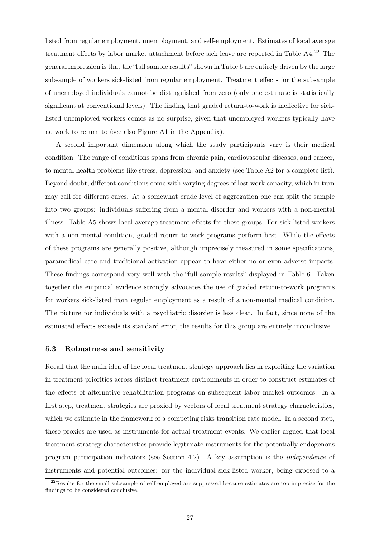listed from regular employment, unemployment, and self-employment. Estimates of local average treatment effects by labor market attachment before sick leave are reported in Table A4.<sup>22</sup> The general impression is that the "full sample results" shown in Table 6 are entirely driven by the large subsample of workers sick-listed from regular employment. Treatment effects for the subsample of unemployed individuals cannot be distinguished from zero (only one estimate is statistically significant at conventional levels). The finding that graded return-to-work is ineffective for sicklisted unemployed workers comes as no surprise, given that unemployed workers typically have no work to return to (see also Figure A1 in the Appendix).

A second important dimension along which the study participants vary is their medical condition. The range of conditions spans from chronic pain, cardiovascular diseases, and cancer, to mental health problems like stress, depression, and anxiety (see Table A2 for a complete list). Beyond doubt, different conditions come with varying degrees of lost work capacity, which in turn may call for different cures. At a somewhat crude level of aggregation one can split the sample into two groups: individuals suffering from a mental disorder and workers with a non-mental illness. Table A5 shows local average treatment effects for these groups. For sick-listed workers with a non-mental condition, graded return-to-work programs perform best. While the effects of these programs are generally positive, although imprecisely measured in some specifications, paramedical care and traditional activation appear to have either no or even adverse impacts. These findings correspond very well with the "full sample results" displayed in Table 6. Taken together the empirical evidence strongly advocates the use of graded return-to-work programs for workers sick-listed from regular employment as a result of a non-mental medical condition. The picture for individuals with a psychiatric disorder is less clear. In fact, since none of the estimated effects exceeds its standard error, the results for this group are entirely inconclusive.

#### 5.3 Robustness and sensitivity

Recall that the main idea of the local treatment strategy approach lies in exploiting the variation in treatment priorities across distinct treatment environments in order to construct estimates of the effects of alternative rehabilitation programs on subsequent labor market outcomes. In a first step, treatment strategies are proxied by vectors of local treatment strategy characteristics, which we estimate in the framework of a competing risks transition rate model. In a second step, these proxies are used as instruments for actual treatment events. We earlier argued that local treatment strategy characteristics provide legitimate instruments for the potentially endogenous program participation indicators (see Section 4.2). A key assumption is the *independence* of instruments and potential outcomes: for the individual sick-listed worker, being exposed to a

<sup>&</sup>lt;sup>22</sup>Results for the small subsample of self-employed are suppressed because estimates are too imprecise for the findings to be considered conclusive.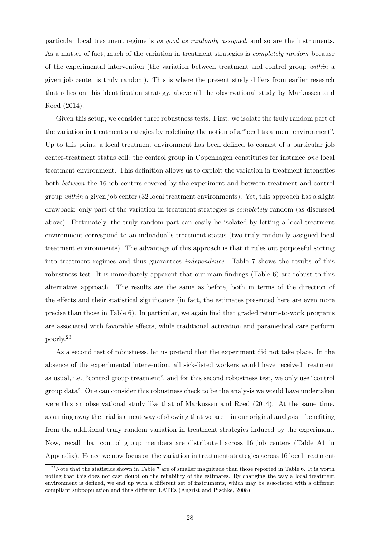particular local treatment regime is *as good as randomly assigned*, and so are the instruments. As a matter of fact, much of the variation in treatment strategies is *completely random* because of the experimental intervention (the variation between treatment and control group *within* a given job center is truly random). This is where the present study differs from earlier research that relies on this identification strategy, above all the observational study by Markussen and Røed (2014).

Given this setup, we consider three robustness tests. First, we isolate the truly random part of the variation in treatment strategies by redefining the notion of a "local treatment environment". Up to this point, a local treatment environment has been defined to consist of a particular job center-treatment status cell: the control group in Copenhagen constitutes for instance *one* local treatment environment. This definition allows us to exploit the variation in treatment intensities both *between* the 16 job centers covered by the experiment and between treatment and control group *within* a given job center (32 local treatment environments). Yet, this approach has a slight drawback: only part of the variation in treatment strategies is *completely* random (as discussed above). Fortunately, the truly random part can easily be isolated by letting a local treatment environment correspond to an individual's treatment status (two truly randomly assigned local treatment environments). The advantage of this approach is that it rules out purposeful sorting into treatment regimes and thus guarantees *independence*. Table 7 shows the results of this robustness test. It is immediately apparent that our main findings (Table 6) are robust to this alternative approach. The results are the same as before, both in terms of the direction of the effects and their statistical significance (in fact, the estimates presented here are even more precise than those in Table 6). In particular, we again find that graded return-to-work programs are associated with favorable effects, while traditional activation and paramedical care perform poorly.<sup>23</sup>

As a second test of robustness, let us pretend that the experiment did not take place. In the absence of the experimental intervention, all sick-listed workers would have received treatment as usual, i.e., "control group treatment", and for this second robustness test, we only use "control group data". One can consider this robustness check to be the analysis we would have undertaken were this an observational study like that of Markussen and Røed (2014). At the same time, assuming away the trial is a neat way of showing that we are—in our original analysis—benefiting from the additional truly random variation in treatment strategies induced by the experiment. Now, recall that control group members are distributed across 16 job centers (Table A1 in Appendix). Hence we now focus on the variation in treatment strategies across 16 local treatment

 $^{23}$ Note that the statistics shown in Table 7 are of smaller magnitude than those reported in Table 6. It is worth noting that this does not cast doubt on the reliability of the estimates. By changing the way a local treatment environment is defined, we end up with a different set of instruments, which may be associated with a different compliant subpopulation and thus different LATEs (Angrist and Pischke, 2008).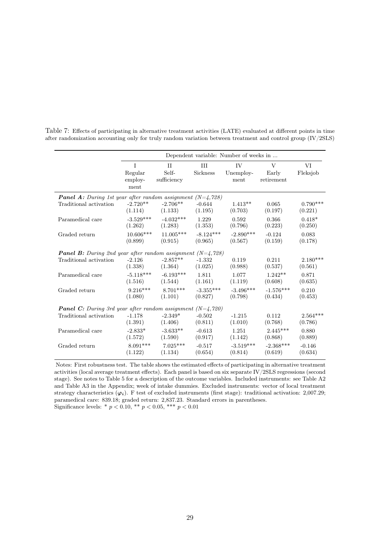|                                                                      | Dependent variable: Number of weeks in |                            |                 |                                     |                          |                |  |
|----------------------------------------------------------------------|----------------------------------------|----------------------------|-----------------|-------------------------------------|--------------------------|----------------|--|
|                                                                      | T<br>Regular<br>employ-<br>ment        | II<br>Self-<br>sufficiency | III<br>Sickness | IV <sub></sub><br>Unemploy-<br>ment | V<br>Early<br>retirement | VI<br>Fleksjob |  |
| <b>Panel A:</b> During 1st year after random assignment $(N=4, 728)$ |                                        |                            |                 |                                     |                          |                |  |
| Traditional activation                                               | $-2.720**$                             | $-2.706**$                 | $-0.644$        | $1.413**$                           | 0.065                    | $0.790***$     |  |
|                                                                      | (1.114)                                | (1.133)                    | (1.195)         | (0.703)                             | (0.197)                  | (0.221)        |  |
| Paramedical care                                                     | $-3.529***$                            | $-4.032***$                | 1.229           | 0.592                               | 0.366                    | $0.418*$       |  |
|                                                                      | (1.262)                                | (1.283)                    | (1.353)         | (0.796)                             | (0.223)                  | (0.250)        |  |
| Graded return                                                        | $10.606***$                            | $11.005***$                | $-8.124***$     | $-2.890***$                         | $-0.124$                 | 0.083          |  |
|                                                                      | (0.899)                                | (0.915)                    | (0.965)         | (0.567)                             | (0.159)                  | (0.178)        |  |
| <b>Panel B:</b> During 2nd year after random assignment $(N=4, 728)$ |                                        |                            |                 |                                     |                          |                |  |
| Traditional activation                                               | $-2.126$                               | $-2.857**$                 | $-1.332$        | 0.119                               | 0.211                    | $2.180***$     |  |
|                                                                      | (1.338)                                | (1.364)                    | (1.025)         | (0.988)                             | (0.537)                  | (0.561)        |  |
| Paramedical care                                                     | $-5.118***$                            | $-6.193***$                | 1.811           | 1.077                               | $1.242**$                | 0.871          |  |
|                                                                      | (1.516)                                | (1.544)                    | (1.161)         | (1.119)                             | (0.608)                  | (0.635)        |  |
| Graded return                                                        | $9.216***$                             | $8.701***$                 | $-3.355***$     | $-3.496***$                         | $-1.576***$              | 0.210          |  |
|                                                                      | (1.080)                                | (1.101)                    | (0.827)         | (0.798)                             | (0.434)                  | (0.453)        |  |
| <b>Panel C:</b> During 3rd year after random assignment $(N=4,720)$  |                                        |                            |                 |                                     |                          |                |  |
| Traditional activation                                               | $-1.178$                               | $-2.349*$                  | $-0.502$        | $-1.215$                            | 0.112                    | $2.564***$     |  |
|                                                                      | (1.391)                                | (1.406)                    | (0.811)         | (1.010)                             | (0.768)                  | (0.786)        |  |
| Paramedical care                                                     | $-2.833*$                              | $-3.633**$                 | $-0.613$        | 1.251                               | $2.445***$               | 0.880          |  |
|                                                                      | (1.572)                                | (1.590)                    | (0.917)         | (1.142)                             | (0.868)                  | (0.889)        |  |
| Graded return                                                        | $8.091***$                             | $7.025***$                 | $-0.517$        | $-3.519***$                         | $-2.368***$              | $-0.146$       |  |
|                                                                      | (1.122)                                | (1.134)                    | (0.654)         | (0.814)                             | (0.619)                  | (0.634)        |  |

Table 7: Effects of participating in alternative treatment activities (LATE) evaluated at different points in time after randomization accounting only for truly random variation between treatment and control group (IV/2SLS)

Notes: First robustness test. The table shows the estimated effects of participating in alternative treatment activities (local average treatment effects). Each panel is based on six separate IV/2SLS regressions (second stage). See notes to Table 5 for a description of the outcome variables. Included instruments: see Table A2 and Table A3 in the Appendix; week of intake dummies. Excluded instruments: vector of local treatment strategy characteristics  $(\varphi_i)$ . F test of excluded instruments (first stage): traditional activation: 2,007.29; paramedical care: 839.18; graded return: 2,837.23. Standard errors in parentheses. Significance levels: \* $p < 0.10,$  \*\*  $p < 0.05,$  \*\*\*  $p < 0.01$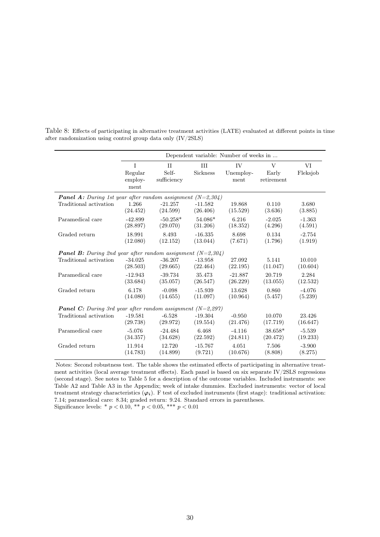|                                                                     | Dependent variable: Number of weeks in |                            |                 |                                |                                     |                |  |
|---------------------------------------------------------------------|----------------------------------------|----------------------------|-----------------|--------------------------------|-------------------------------------|----------------|--|
|                                                                     | T<br>Regular<br>employ-<br>ment        | II<br>Self-<br>sufficiency | III<br>Sickness | <b>IV</b><br>Unemploy-<br>ment | $\mathbf{V}$<br>Early<br>retirement | VI<br>Fleksjob |  |
| <b>Panel A:</b> During 1st year after random assignment $(N=2,304)$ |                                        |                            |                 |                                |                                     |                |  |
| Traditional activation                                              | 1.266                                  | $-21.257$                  | $-11.582$       | 19.868                         | 0.110                               | 3.680          |  |
|                                                                     | (24.452)                               | (24.599)                   | (26.406)        | (15.529)                       | (3.636)                             | (3.885)        |  |
| Paramedical care                                                    | $-42.899$                              | $-50.258*$                 | 54.086*         | 6.216                          | $-2.025$                            | $-1.363$       |  |
|                                                                     | (28.897)                               | (29.070)                   | (31.206)        | (18.352)                       | (4.296)                             | (4.591)        |  |
| Graded return                                                       | 18.991                                 | 8.493                      | $-16.335$       | 8.698                          | 0.134                               | $-2.754$       |  |
|                                                                     | (12.080)                               | (12.152)                   | (13.044)        | (7.671)                        | (1.796)                             | (1.919)        |  |
| <b>Panel B:</b> During 2nd year after random assignment $(N=2,304)$ |                                        |                            |                 |                                |                                     |                |  |
| Traditional activation                                              | $-34.025$                              | $-36.207$                  | $-13.958$       | 27.092                         | 5.141                               | 10.010         |  |
|                                                                     | (28.503)                               | (29.665)                   | (22.464)        | (22.195)                       | (11.047)                            | (10.604)       |  |
| Paramedical care                                                    | $-12.943$                              | $-39.734$                  | 35.473          | $-21.887$                      | 20.719                              | 2.284          |  |
|                                                                     | (33.684)                               | (35.057)                   | (26.547)        | (26.229)                       | (13.055)                            | (12.532)       |  |
| Graded return                                                       | 6.178                                  | $-0.098$                   | $-15.939$       | 13.628                         | 0.860                               | $-4.076$       |  |
|                                                                     | (14.080)                               | (14.655)                   | (11.097)        | (10.964)                       | (5.457)                             | (5.239)        |  |
| <b>Panel C:</b> During 3rd year after random assignment $(N=2,297)$ |                                        |                            |                 |                                |                                     |                |  |
| Traditional activation                                              | $-19.581$                              | $-6.528$                   | $-19.304$       | $-0.950$                       | 10.070                              | 23.426         |  |
|                                                                     | (29.738)                               | (29.972)                   | (19.554)        | (21.476)                       | (17.719)                            | (16.647)       |  |
| Paramedical care                                                    | $-5.076$                               | $-24.484$                  | 6.468           | $-4.116$                       | 38.658*                             | $-5.539$       |  |
|                                                                     | (34.357)                               | (34.628)                   | (22.592)        | (24.811)                       | (20.472)                            | (19.233)       |  |
| Graded return                                                       | 11.914                                 | 12.720                     | $-15.767$       | 4.051                          | 7.506                               | $-3.900$       |  |
|                                                                     | (14.783)                               | (14.899)                   | (9.721)         | (10.676)                       | (8.808)                             | (8.275)        |  |

Table 8: Effects of participating in alternative treatment activities (LATE) evaluated at different points in time after randomization using control group data only (IV/2SLS)

Notes: Second robustness test. The table shows the estimated effects of participating in alternative treatment activities (local average treatment effects). Each panel is based on six separate IV/2SLS regressions (second stage). See notes to Table 5 for a description of the outcome variables. Included instruments: see Table A2 and Table A3 in the Appendix; week of intake dummies. Excluded instruments: vector of local treatment strategy characteristics  $(\varphi_i)$ . F test of excluded instruments (first stage): traditional activation: 7.14; paramedical care: 8.34; graded return: 9.24. Standard errors in parentheses. Significance levels: \* $p < 0.10,$  \*\*  $p < 0.05,$  \*\*\*  $p < 0.01$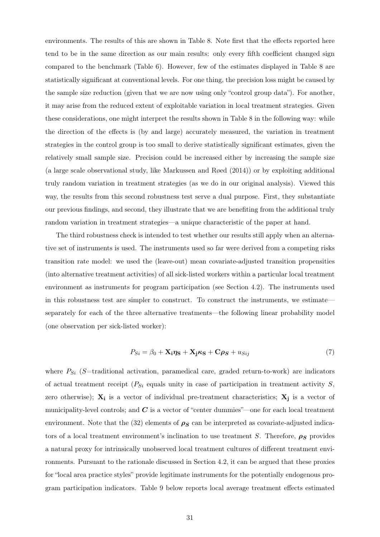environments. The results of this are shown in Table 8. Note first that the effects reported here tend to be in the same direction as our main results: only every fifth coefficient changed sign compared to the benchmark (Table 6). However, few of the estimates displayed in Table 8 are statistically significant at conventional levels. For one thing, the precision loss might be caused by the sample size reduction (given that we are now using only "control group data"). For another, it may arise from the reduced extent of exploitable variation in local treatment strategies. Given these considerations, one might interpret the results shown in Table 8 in the following way: while the direction of the effects is (by and large) accurately measured, the variation in treatment strategies in the control group is too small to derive statistically significant estimates, given the relatively small sample size. Precision could be increased either by increasing the sample size (a large scale observational study, like Markussen and Røed (2014)) or by exploiting additional truly random variation in treatment strategies (as we do in our original analysis). Viewed this way, the results from this second robustness test serve a dual purpose. First, they substantiate our previous findings, and second, they illustrate that we are benefiting from the additional truly random variation in treatment strategies—a unique characteristic of the paper at hand.

The third robustness check is intended to test whether our results still apply when an alternative set of instruments is used. The instruments used so far were derived from a competing risks transition rate model: we used the (leave-out) mean covariate-adjusted transition propensities (into alternative treatment activities) of all sick-listed workers within a particular local treatment environment as instruments for program participation (see Section 4.2). The instruments used in this robustness test are simpler to construct. To construct the instruments, we estimate separately for each of the three alternative treatments—the following linear probability model (one observation per sick-listed worker):

$$
P_{Si} = \beta_0 + \mathbf{X}_i \eta_{\mathbf{S}} + \mathbf{X}_j \kappa_{\mathbf{S}} + \mathbf{C} \rho_{\mathbf{S}} + u_{Sij}
$$
(7)

where  $P_{Si}$  ( $S$ =traditional activation, paramedical care, graded return-to-work) are indicators of actual treatment receipt (*PSi* equals unity in case of participation in treatment activity *S*, zero otherwise); **X<sup>i</sup>** is a vector of individual pre-treatment characteristics; **X<sup>j</sup>** is a vector of municipality-level controls; and  $C$  is a vector of "center dummies"—one for each local treatment environment. Note that the (32) elements of  $\rho_S$  can be interpreted as covariate-adjusted indicators of a local treatment environment's inclination to use treatment *S*. Therefore,  $\rho_S$  provides a natural proxy for intrinsically unobserved local treatment cultures of different treatment environments. Pursuant to the rationale discussed in Section 4.2, it can be argued that these proxies for "local area practice styles" provide legitimate instruments for the potentially endogenous program participation indicators. Table 9 below reports local average treatment effects estimated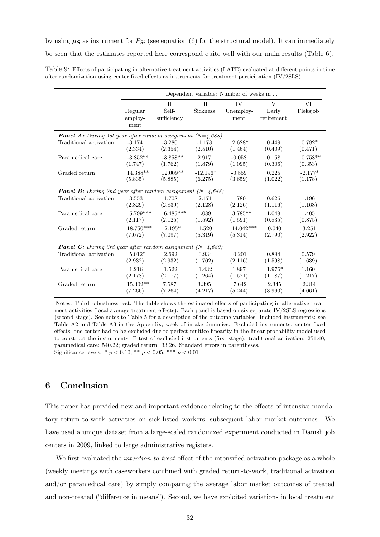by using  $\rho_S$  as instrument for  $P_{Si}$  (see equation (6) for the structural model). It can immediately

be seen that the estimates reported here correspond quite well with our main results (Table 6).

Table 9: Effects of participating in alternative treatment activities (LATE) evaluated at different points in time after randomization using center fixed effects as instruments for treatment participation (IV/2SLS)

|                                                                     | Dependent variable: Number of weeks in |             |                 |              |            |           |
|---------------------------------------------------------------------|----------------------------------------|-------------|-----------------|--------------|------------|-----------|
|                                                                     | T                                      | II          | HН              | IV.          | V          | VI        |
|                                                                     | Regular                                | Self-       | <b>Sickness</b> | Unemploy-    | Early      | Fleksjob  |
|                                                                     | employ-<br>ment                        | sufficiency |                 | ment         | retirement |           |
| <b>Panel A:</b> During 1st year after random assignment $(N=4,688)$ |                                        |             |                 |              |            |           |
| Traditional activation                                              | $-3.174$                               | $-3.280$    | $-1.178$        | $2.628*$     | 0.449      | $0.782*$  |
|                                                                     | (2.334)                                | (2.354)     | (2.510)         | (1.464)      | (0.409)    | (0.471)   |
| Paramedical care                                                    | $-3.852**$                             | $-3.858**$  | 2.917           | $-0.058$     | 0.158      | $0.758**$ |
|                                                                     | (1.747)                                | (1.762)     | (1.879)         | (1.095)      | (0.306)    | (0.353)   |
| Graded return                                                       | 14.388**                               | $12.009**$  | $-12.196*$      | $-0.559$     | 0.225      | $-2.177*$ |
|                                                                     | (5.835)                                | (5.885)     | (6.275)         | (3.659)      | (1.022)    | (1.178)   |
| <b>Panel B:</b> During 2nd year after random assignment $(N=4,688)$ |                                        |             |                 |              |            |           |
| Traditional activation                                              | $-3.553$                               | $-1.708$    | $-2.171$        | 1.780        | 0.626      | 1.196     |
|                                                                     | (2.829)                                | (2.839)     | (2.128)         | (2.126)      | (1.116)    | (1.168)   |
| Paramedical care                                                    | $-5.799***$                            | $-6.485***$ | 1.089           | $3.785**$    | 1.049      | 1.405     |
|                                                                     | (2.117)                                | (2.125)     | (1.592)         | (1.591)      | (0.835)    | (0.875)   |
| Graded return                                                       | $18.750***$                            | $12.195*$   | $-1.520$        | $-14.042***$ | $-0.040$   | $-3.251$  |
|                                                                     | (7.072)                                | (7.097)     | (5.319)         | (5.314)      | (2.790)    | (2.922)   |
| <b>Panel C:</b> During 3rd year after random assignment $(N=4,680)$ |                                        |             |                 |              |            |           |
| Traditional activation                                              | $-5.012*$                              | $-2.692$    | $-0.934$        | $-0.201$     | 0.894      | 0.579     |
|                                                                     | (2.932)                                | (2.932)     | (1.702)         | (2.116)      | (1.598)    | (1.639)   |
| Paramedical care                                                    | $-1.216$                               | $-1.522$    | $-1.432$        | 1.897        | 1.976*     | 1.160     |
|                                                                     | (2.178)                                | (2.177)     | (1.264)         | (1.571)      | (1.187)    | (1.217)   |
| Graded return                                                       | $15.302**$                             | 7.587       | 3.395           | $-7.642$     | $-2.345$   | $-2.314$  |
|                                                                     | (7.266)                                | (7.264)     | (4.217)         | (5.244)      | (3.960)    | (4.061)   |

Notes: Third robustness test. The table shows the estimated effects of participating in alternative treatment activities (local average treatment effects). Each panel is based on six separate IV/2SLS regressions (second stage). See notes to Table 5 for a description of the outcome variables. Included instruments: see Table A2 and Table A3 in the Appendix; week of intake dummies. Excluded instruments: center fixed effects; one center had to be excluded due to perfect multicollinearity in the linear probability model used to construct the instruments. F test of excluded instruments (first stage): traditional activation: 251.40; paramedical care: 540.22; graded return: 33.26. Standard errors in parentheses. Significance levels: \*  $p < 0.10$ , \*\*  $p < 0.05$ , \*\*\*  $p < 0.01$ 

#### 6 Conclusion

This paper has provided new and important evidence relating to the effects of intensive mandatory return-to-work activities on sick-listed workers' subsequent labor market outcomes. We have used a unique dataset from a large-scaled randomized experiment conducted in Danish job centers in 2009, linked to large administrative registers.

We first evaluated the *intention-to-treat* effect of the intensified activation package as a whole (weekly meetings with caseworkers combined with graded return-to-work, traditional activation and/or paramedical care) by simply comparing the average labor market outcomes of treated and non-treated ("difference in means"). Second, we have exploited variations in local treatment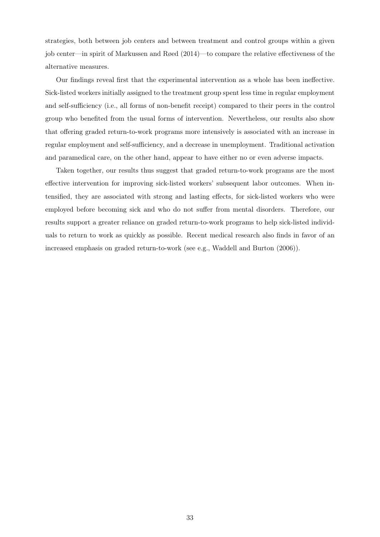strategies, both between job centers and between treatment and control groups within a given job center—in spirit of Markussen and Røed (2014)—to compare the relative effectiveness of the alternative measures.

Our findings reveal first that the experimental intervention as a whole has been ineffective. Sick-listed workers initially assigned to the treatment group spent less time in regular employment and self-sufficiency (i.e., all forms of non-benefit receipt) compared to their peers in the control group who benefited from the usual forms of intervention. Nevertheless, our results also show that offering graded return-to-work programs more intensively is associated with an increase in regular employment and self-sufficiency, and a decrease in unemployment. Traditional activation and paramedical care, on the other hand, appear to have either no or even adverse impacts.

Taken together, our results thus suggest that graded return-to-work programs are the most effective intervention for improving sick-listed workers' subsequent labor outcomes. When intensified, they are associated with strong and lasting effects, for sick-listed workers who were employed before becoming sick and who do not suffer from mental disorders. Therefore, our results support a greater reliance on graded return-to-work programs to help sick-listed individuals to return to work as quickly as possible. Recent medical research also finds in favor of an increased emphasis on graded return-to-work (see e.g., Waddell and Burton (2006)).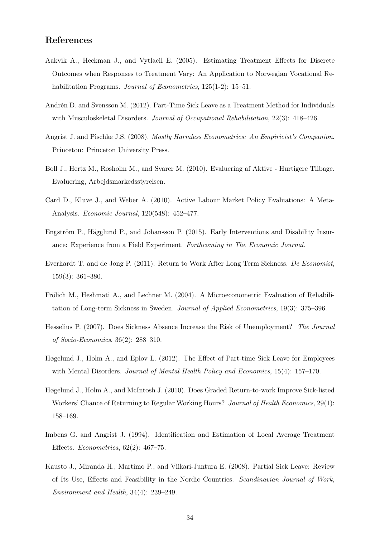#### References

- Aakvik A., Heckman J., and Vytlacil E. (2005). Estimating Treatment Effects for Discrete Outcomes when Responses to Treatment Vary: An Application to Norwegian Vocational Rehabilitation Programs. *Journal of Econometrics*, 125(1-2): 15–51.
- Andrén D. and Svensson M. (2012). Part-Time Sick Leave as a Treatment Method for Individuals with Musculoskeletal Disorders. *Journal of Occupational Rehabilitation*, 22(3): 418–426.
- Angrist J. and Pischke J.S. (2008). *Mostly Harmless Econometrics: An Empiricist's Companion*. Princeton: Princeton University Press.
- Boll J., Hertz M., Rosholm M., and Svarer M. (2010). Evaluering af Aktive Hurtigere Tilbage. Evaluering, Arbejdsmarkedsstyrelsen.
- Card D., Kluve J., and Weber A. (2010). Active Labour Market Policy Evaluations: A Meta-Analysis. *Economic Journal*, 120(548): 452–477.
- Engström P., Hägglund P., and Johansson P. (2015). Early Interventions and Disability Insurance: Experience from a Field Experiment. *Forthcoming in The Economic Journal*.
- Everhardt T. and de Jong P. (2011). Return to Work After Long Term Sickness. *De Economist*, 159(3): 361–380.
- Frölich M., Heshmati A., and Lechner M. (2004). A Microeconometric Evaluation of Rehabilitation of Long-term Sickness in Sweden. *Journal of Applied Econometrics*, 19(3): 375–396.
- Hesselius P. (2007). Does Sickness Absence Increase the Risk of Unemployment? *The Journal of Socio-Economics*, 36(2): 288–310.
- Høgelund J., Holm A., and Eplov L. (2012). The Effect of Part-time Sick Leave for Employees with Mental Disorders. *Journal of Mental Health Policy and Economics*, 15(4): 157–170.
- Høgelund J., Holm A., and McIntosh J. (2010). Does Graded Return-to-work Improve Sick-listed Workers' Chance of Returning to Regular Working Hours? *Journal of Health Economics*, 29(1): 158–169.
- Imbens G. and Angrist J. (1994). Identification and Estimation of Local Average Treatment Effects. *Econometrica*, 62(2): 467–75.
- Kausto J., Miranda H., Martimo P., and Viikari-Juntura E. (2008). Partial Sick Leave: Review of Its Use, Effects and Feasibility in the Nordic Countries. *Scandinavian Journal of Work, Environment and Health*, 34(4): 239–249.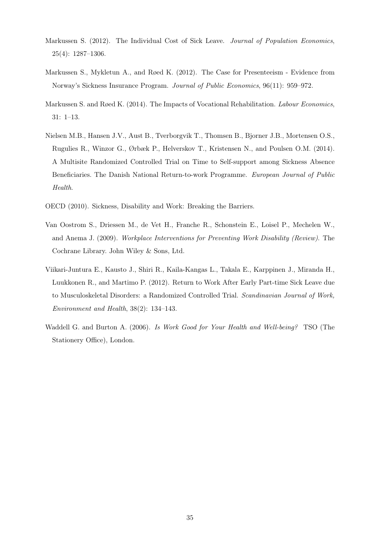- Markussen S. (2012). The Individual Cost of Sick Leave. *Journal of Population Economics*, 25(4): 1287–1306.
- Markussen S., Mykletun A., and Røed K. (2012). The Case for Presenteeism Evidence from Norway's Sickness Insurance Program. *Journal of Public Economics*, 96(11): 959–972.
- Markussen S. and Røed K. (2014). The Impacts of Vocational Rehabilitation. *Labour Economics*, 31: 1–13.
- Nielsen M.B., Hansen J.V., Aust B., Tverborgvik T., Thomsen B., Bjorner J.B., Mortensen O.S., Rugulies R., Winzor G., Ørbæk P., Helverskov T., Kristensen N., and Poulsen O.M. (2014). A Multisite Randomized Controlled Trial on Time to Self-support among Sickness Absence Beneficiaries. The Danish National Return-to-work Programme. *European Journal of Public Health*.
- OECD (2010). Sickness, Disability and Work: Breaking the Barriers.
- Van Oostrom S., Driessen M., de Vet H., Franche R., Schonstein E., Loisel P., Mechelen W., and Anema J. (2009). *Workplace Interventions for Preventing Work Disability (Review)*. The Cochrane Library. John Wiley & Sons, Ltd.
- Viikari-Juntura E., Kausto J., Shiri R., Kaila-Kangas L., Takala E., Karppinen J., Miranda H., Luukkonen R., and Martimo P. (2012). Return to Work After Early Part-time Sick Leave due to Musculoskeletal Disorders: a Randomized Controlled Trial. *Scandinavian Journal of Work, Environment and Health*, 38(2): 134–143.
- Waddell G. and Burton A. (2006). *Is Work Good for Your Health and Well-being?* TSO (The Stationery Office), London.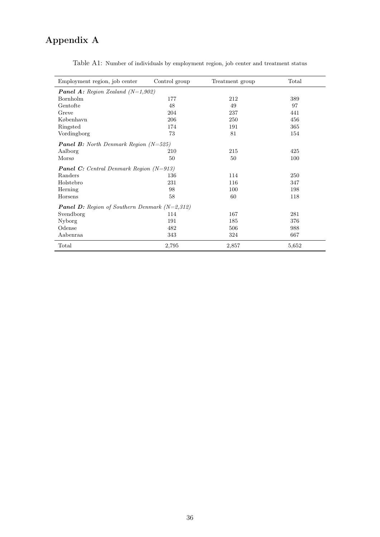## Appendix A

| Employment region, job center                          | Control group | Treatment group | Total |
|--------------------------------------------------------|---------------|-----------------|-------|
| <b>Panel A:</b> Region Zealand $(N=1,902)$             |               |                 |       |
| Bornholm                                               | 177           | 212             | 389   |
| Gentofte                                               | 48            | 49              | 97    |
| Greve                                                  | 204           | 237             | 441   |
| København                                              | 206           | 250             | 456   |
| Ringsted                                               | 174           | 191             | 365   |
| Vordingborg                                            | 73            | 81              | 154   |
| <b>Panel B:</b> North Denmark Region $(N=525)$         |               |                 |       |
| Aalborg                                                | 210           | 215             | 425   |
| Morsø                                                  | 50            | 50              | 100   |
| <b>Panel C:</b> Central Denmark Region $(N=913)$       |               |                 |       |
| Randers                                                | 136           | 114             | 250   |
| Holstebro                                              | 231           | 116             | 347   |
| Herning                                                | 98            | 100             | 198   |
| Horsens                                                | 58            | 60              | 118   |
| <b>Panel D:</b> Region of Southern Denmark $(N=2,312)$ |               |                 |       |
| Svendborg                                              | 114           | 167             | 281   |
| Nyborg                                                 | 191           | 185             | 376   |
| Odense                                                 | 482           | 506             | 988   |
| Aabenraa                                               | 343           | 324             | 667   |
| Total                                                  | 2,795         | 2,857           | 5,652 |

Table A1: Number of individuals by employment region, job center and treatment status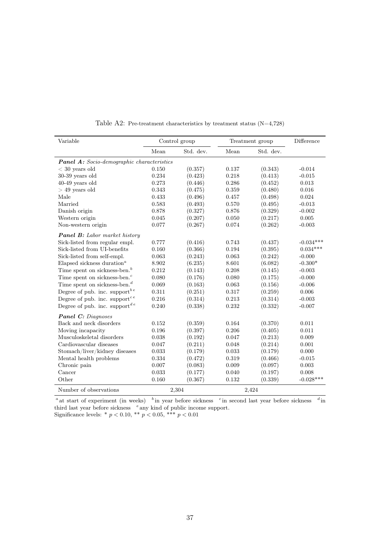| Variable                                              | Control group |           |       | Treatment group | Difference  |
|-------------------------------------------------------|---------------|-----------|-------|-----------------|-------------|
|                                                       | Mean          | Std. dev. | Mean  | Std. dev.       |             |
| <b>Panel A:</b> Socio-demographic characteristics     |               |           |       |                 |             |
| $<$ 30 years old                                      | 0.150         | (0.357)   | 0.137 | (0.343)         | $-0.014$    |
| $30-39$ years old                                     | 0.234         | (0.423)   | 0.218 | (0.413)         | $-0.015$    |
| $40-49$ years old                                     | 0.273         | (0.446)   | 0.286 | (0.452)         | 0.013       |
| $>$ 49 years old                                      | 0.343         | (0.475)   | 0.359 | (0.480)         | 0.016       |
| Male                                                  | 0.433         | (0.496)   | 0.457 | (0.498)         | 0.024       |
| Married                                               | 0.583         | (0.493)   | 0.570 | (0.495)         | $-0.013$    |
| Danish origin                                         | 0.878         | (0.327)   | 0.876 | (0.329)         | $-0.002$    |
| Western origin                                        | 0.045         | (0.207)   | 0.050 | (0.217)         | 0.005       |
| Non-western origin                                    | 0.077         | (0.267)   | 0.074 | (0.262)         | $-0.003$    |
| <b>Panel B:</b> Labor market history                  |               |           |       |                 |             |
| Sick-listed from regular empl.                        | 0.777         | (0.416)   | 0.743 | (0.437)         | $-0.034***$ |
| Sick-listed from UI-benefits                          | 0.160         | (0.366)   | 0.194 | (0.395)         | $0.034***$  |
| Sick-listed from self-empl.                           | 0.063         | (0.243)   | 0.063 | (0.242)         | $-0.000$    |
| Elapsed sickness duration <sup><math>a</math></sup>   | 8.902         | (6.235)   | 8.601 | (6.082)         | $-0.300*$   |
| Time spent on sickness-ben. <sup>b</sup>              | 0.212         | (0.143)   | 0.208 | (0.145)         | $-0.003$    |
| Time spent on sickness-ben. <sup>c</sup>              | 0.080         | (0.176)   | 0.080 | (0.175)         | $-0.000$    |
| Time spent on sickness-ben. <sup><math>d</math></sup> | 0.069         | (0.163)   | 0.063 | (0.156)         | $-0.006$    |
| Degree of pub. inc. support <sup>be</sup>             | 0.311         | (0.251)   | 0.317 | (0.259)         | 0.006       |
| Degree of pub. inc. support <sup>ce</sup>             | 0.216         | (0.314)   | 0.213 | (0.314)         | $-0.003$    |
| Degree of pub. inc. support $e^{de}$                  | 0.240         | (0.338)   | 0.232 | (0.332)         | $-0.007$    |
| <b>Panel C:</b> Diagnoses                             |               |           |       |                 |             |
| Back and neck disorders                               | 0.152         | (0.359)   | 0.164 | (0.370)         | 0.011       |
| Moving incapacity                                     | 0.196         | (0.397)   | 0.206 | (0.405)         | 0.011       |
| Musculoskeletal disorders                             | 0.038         | (0.192)   | 0.047 | (0.213)         | 0.009       |
| Cardiovascular diseases                               | 0.047         | (0.211)   | 0.048 | (0.214)         | 0.001       |
| Stomach/liver/kidney diseases                         | 0.033         | (0.179)   | 0.033 | (0.179)         | 0.000       |
| Mental health problems                                | 0.334         | (0.472)   | 0.319 | (0.466)         | $-0.015$    |
| Chronic pain                                          | 0.007         | (0.083)   | 0.009 | (0.097)         | 0.003       |
| Cancer                                                | 0.033         | (0.177)   | 0.040 | (0.197)         | 0.008       |
| Other                                                 | 0.160         | (0.367)   | 0.132 | (0.339)         | $-0.028***$ |
| Number of observations                                |               | 2,304     |       | 2,424           |             |

Table A2: Pre-treatment characteristics by treatment status (N=4,728)

<sup>*a*</sup> at start of experiment (in weeks) <sup>*b*</sup> in year before sickness <sup>*c*</sup> in second last year before sickness <sup>*d*</sup> in third last year before sickness *<sup>e</sup>* any kind of public income support.

Significance levels: \* *p <* 0*.*10, \*\* *p <* 0*.*05, \*\*\* *p <* 0*.*01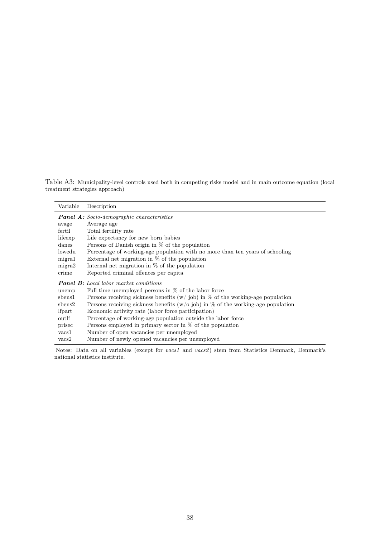Table A3: Municipality-level controls used both in competing risks model and in main outcome equation (local treatment strategies approach)

| Variable       | Description                                                                         |
|----------------|-------------------------------------------------------------------------------------|
|                | <b>Panel A:</b> Socio-demographic characteristics                                   |
| avage          | Average age                                                                         |
| fertil         | Total fertility rate                                                                |
| lifeexp        | Life expectancy for new born babies                                                 |
| danes          | Persons of Danish origin in $\%$ of the population                                  |
| lowedu         | Percentage of working-age population with no more than ten years of schooling       |
| migral         | External net migration in $\%$ of the population                                    |
| migra2         | Internal net migration in $\%$ of the population                                    |
| crime          | Reported criminal offences per capita                                               |
|                | <b>Panel B:</b> Local labor market conditions                                       |
| unemp          | Full-time unemployed persons in $\%$ of the labor force                             |
| sbens1         | Persons receiving sickness benefits $(w / job)$ in % of the working-age population  |
| sbens2         | Persons receiving sickness benefits ( $w/o$ job) in % of the working-age population |
| <i>lfpart</i>  | Economic activity rate (labor force participation)                                  |
| outlf          | Percentage of working-age population outside the labor force                        |
| prisec         | Persons employed in primary sector in $\%$ of the population                        |
| vacs1          | Number of open vacancies per unemployed                                             |
| $\text{vacs2}$ | Number of newly opened vacancies per unemployed                                     |

Notes: Data on all variables (except for *vacs1* and *vacs2* ) stem from Statistics Denmark, Denmark's national statistics institute.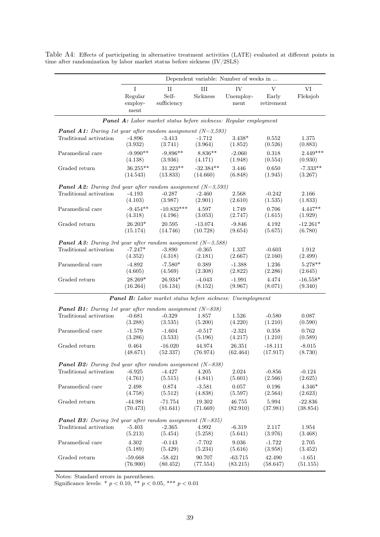|                                                                      | Dependent variable: Number of weeks in |                                                                         |                 |                         |                                    |                |  |  |
|----------------------------------------------------------------------|----------------------------------------|-------------------------------------------------------------------------|-----------------|-------------------------|------------------------------------|----------------|--|--|
|                                                                      | I<br>Regular<br>employ-<br>ment        | $\rm II$<br>Self-<br>sufficiency                                        | III<br>Sickness | IV<br>Unemploy-<br>ment | $\mathbf V$<br>Early<br>retirement | VI<br>Fleksjob |  |  |
|                                                                      |                                        | <b>Panel A:</b> Labor market status before sickness: Regular employment |                 |                         |                                    |                |  |  |
| <b>Panel A1:</b> During 1st year after random assignment $(N=3,593)$ |                                        |                                                                         |                 |                         |                                    |                |  |  |
| Traditional activation                                               | $-4.896$                               | $-3.413$                                                                | $-1.712$        | $3.438*$                | 0.552                              | 1.375          |  |  |
|                                                                      | (3.932)                                | (3.741)                                                                 | (3.964)         | (1.852)                 | (0.526)                            | (0.883)        |  |  |
| Paramedical care                                                     | $-9.990**$                             | $-9.896**$                                                              | $8.836**$       | $-2.060$                | 0.318                              | $2.449***$     |  |  |
|                                                                      | (4.138)                                | (3.936)                                                                 | (4.171)         | (1.948)                 | (0.554)                            | (0.930)        |  |  |
| Graded return                                                        | $36.255**$                             | $31.223**$                                                              | $-32.384**$     | 3.446                   | 0.650                              | $-7.333**$     |  |  |
|                                                                      | (14.543)                               | (13.833)                                                                | (14.660)        | (6.848)                 | (1.945)                            | (3.267)        |  |  |
| <b>Panel A2:</b> During 2nd year after random assignment $(N=3,593)$ |                                        |                                                                         |                 |                         |                                    |                |  |  |
| Traditional activation                                               | $-4.193$                               | $-0.287$                                                                | $-2.460$        | 2.568                   | $-0.242$                           | 2.166          |  |  |
|                                                                      | (4.103)                                | (3.987)                                                                 | (2.901)         | (2.610)                 | (1.535)                            | (1.833)        |  |  |
| Paramedical care                                                     | $-9.454**$                             | $-10.832***$                                                            | 4.597           | 1.749                   | 0.706                              | $4.447**$      |  |  |
|                                                                      | (4.318)                                | (4.196)                                                                 | (3.053)         | (2.747)                 | (1.615)                            | (1.929)        |  |  |
| Graded return                                                        | $26.203*$                              | 20.595                                                                  | $-13.074$       | $-9.846$                | 4.192                              | $-12.261*$     |  |  |
|                                                                      | (15.174)                               | (14.746)                                                                | (10.728)        | (9.654)                 | (5.675)                            | (6.780)        |  |  |
| <b>Panel A3:</b> During 3rd year after random assignment $(N=3,588)$ |                                        |                                                                         |                 |                         |                                    |                |  |  |
| Traditional activation                                               | $-7.247*$                              | $-3.890$                                                                | $-0.365$        | 1.337                   | $-0.603$                           | 1.912          |  |  |
|                                                                      | (4.352)                                | (4.318)                                                                 | (2.181)         | (2.667)                 | (2.160)                            | (2.499)        |  |  |
| Paramedical care                                                     | $-4.892$                               | $-7.580*$                                                               | 0.389           | $-1.388$                | 1.236                              | $5.278**$      |  |  |
|                                                                      | (4.605)                                | (4.569)                                                                 | (2.308)         | (2.822)                 | (2.286)                            | (2.645)        |  |  |
| Graded return                                                        | 28.269*                                | $26.934*$                                                               | $-4.043$        | $-1.991$                | 4.474                              | $-16.558*$     |  |  |
|                                                                      | (16.264)                               | (16.134)                                                                | (8.152)         | (9.967)                 | (8.071)                            | (9.340)        |  |  |
|                                                                      |                                        | <b>Panel B:</b> Labor market status before sickness: Unemployment       |                 |                         |                                    |                |  |  |
| <b>Panel B1:</b> During 1st year after random assignment $(N=838)$   |                                        |                                                                         |                 |                         |                                    |                |  |  |
| Traditional activation                                               | $-0.681$                               | $-0.329$                                                                | 1.857           | 1.526                   | $-0.580$                           | 0.087          |  |  |
|                                                                      | (3.288)                                | (3.535)                                                                 | (5.200)         | (4.220)                 | (1.210)                            | (0.590)        |  |  |
| Paramedical care                                                     | $-1.579$                               | $-1.604$                                                                | $-0.517$        | $-2.321$                | 0.358                              | 0.762          |  |  |
|                                                                      | (3.286)                                | (3.533)                                                                 | (5.196)         | (4.217)                 | (1.210)                            | (0.589)        |  |  |
| Graded return                                                        | 0.464                                  | $-16.020$                                                               | 44.974          | 26.351                  | $-18.111$                          | $-8.015$       |  |  |
|                                                                      | (48.671)                               | (52.337)                                                                | (76.974)        | (62.464)                | (17.917)                           | (8.730)        |  |  |
| <b>Panel B2:</b> During 2nd year after random assignment $(N=838)$   |                                        |                                                                         |                 |                         |                                    |                |  |  |
| Traditional activation                                               | $-6.925$                               | $-4.427$                                                                | 4.205           | 2.024                   | $-0.856$                           | $-0.124$       |  |  |
|                                                                      | (4.761)                                | (5.515)                                                                 | (4.841)         | (5.601)                 | (2.566)                            | (2.625)        |  |  |
| Paramedical care                                                     | 2.498                                  | 0.874                                                                   | $-3.581$        | 0.057                   | 0.196                              | $4.346*$       |  |  |
|                                                                      | (4.758)                                | (5.512)                                                                 | (4.838)         | (5.597)                 | (2.564)                            | (2.623)        |  |  |
| Graded return                                                        | $-44.981$                              | $-71.754$                                                               | 19.302          | 46.755                  | 5.994                              | $-22.836$      |  |  |
|                                                                      | (70.473)                               | (81.641)                                                                | (71.669)        | (82.910)                | (37.981)                           | (38.854)       |  |  |
| <b>Panel B3:</b> During 3rd year after random assignment $(N=835)$   |                                        |                                                                         |                 |                         |                                    |                |  |  |
| Traditional activation                                               | $-5.403$                               | $-2.365$                                                                | 4.992           | $-6.319$                | 2.117                              | 1.954          |  |  |
|                                                                      | (5.213)                                | (5.454)                                                                 | (5.258)         | (5.641)                 | (3.976)                            | (3.468)        |  |  |
| Paramedical care                                                     | 4.302                                  | $-0.143$                                                                | $-7.702$        | 9.036                   | $-1.722$                           | 2.705          |  |  |
|                                                                      | (5.189)                                | (5.429)                                                                 | (5.234)         | (5.616)                 | (3.958)                            | (3.452)        |  |  |
| Graded return                                                        | $-59.668$                              | $-58.421$                                                               | 90.707          | $-63.715$               | 42.490                             | $-1.651$       |  |  |
|                                                                      | (76.900)                               | (80.452)                                                                | (77.554)        | (83.215)                | (58.647)                           | (51.155)       |  |  |

Table A4: Effects of participating in alternative treatment activities (LATE) evaluated at different points in time after randomization by labor market status before sickness (IV/2SLS)

Notes: Standard errors in parentheses.

Significance levels: \* *p <* 0*.*10, \*\* *p <* 0*.*05, \*\*\* *p <* 0*.*01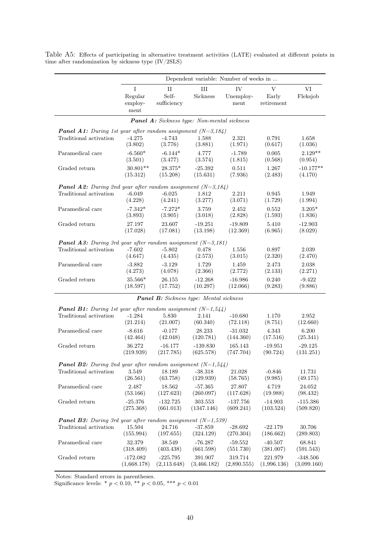|                                                                      | Dependent variable: Number of weeks in |                                                    |                         |                         |                                    |                           |  |  |  |
|----------------------------------------------------------------------|----------------------------------------|----------------------------------------------------|-------------------------|-------------------------|------------------------------------|---------------------------|--|--|--|
|                                                                      | I<br>Regular<br>employ-<br>ment        | $\rm II$<br>Self-<br>sufficiency                   | $\rm III$<br>Sickness   | IV<br>Unemploy-<br>ment | $\mathbf V$<br>Early<br>retirement | VI<br>Fleksjob            |  |  |  |
|                                                                      |                                        | <b>Panel A:</b> Sickness type: Non-mental sickness |                         |                         |                                    |                           |  |  |  |
| <b>Panel A1:</b> During 1st year after random assignment $(N=3,184)$ |                                        |                                                    |                         |                         |                                    |                           |  |  |  |
| Traditional activation                                               | $-4.275$<br>(3.802)                    | $-4.743$<br>(3.776)                                | 1.588<br>(3.881)        | 2.321<br>(1.971)        | 0.791<br>(0.617)                   | 1.658<br>(1.036)          |  |  |  |
| Paramedical care                                                     | $-6.560*$                              | $-6.144*$                                          | 4.777                   | $-1.789$                | 0.005                              | $2.129**$                 |  |  |  |
| Graded return                                                        | (3.501)<br>$30.801**$                  | (3.477)<br>28.375*                                 | (3.574)<br>$-25.392$    | (1.815)<br>0.511        | (0.568)<br>1.267                   | (0.954)<br>$-10.177**$    |  |  |  |
|                                                                      | (15.312)                               | (15.208)                                           | (15.631)                | (7.936)                 | (2.483)                            | (4.170)                   |  |  |  |
| <b>Panel A2:</b> During 2nd year after random assignment $(N=3,184)$ |                                        |                                                    |                         |                         |                                    |                           |  |  |  |
| Traditional activation                                               | $-6.049$                               | $-6.025$<br>(4.241)                                | 1.812                   | 2.211<br>(3.071)        | 0.945                              | 1.949                     |  |  |  |
| Paramedical care                                                     | (4.228)<br>$-7.342*$                   | $-7.272*$                                          | (3.277)<br>3.759        | 2.452                   | (1.729)<br>0.552                   | (1.994)<br>$3.205*$       |  |  |  |
|                                                                      | (3.893)                                | (3.905)                                            | (3.018)                 | (2.828)                 | (1.593)                            | (1.836)                   |  |  |  |
| Graded return                                                        | 27.197                                 | 23.607                                             | $-19.251$               | $-19.809$               | 5.410                              | $-12.903$                 |  |  |  |
|                                                                      | (17.028)                               | (17.081)                                           | (13.198)                | (12.369)                | (6.965)                            | (8.029)                   |  |  |  |
| <b>Panel A3:</b> During 3rd year after random assignment $(N=3,181)$ |                                        |                                                    |                         |                         |                                    | 2.039                     |  |  |  |
| Traditional activation                                               | $-7.602$<br>(4.647)                    | $-5.802$<br>(4.435)                                | 0.478<br>(2.573)        | 1.556<br>(3.015)        | 0.897<br>(2.320)                   | (2.470)                   |  |  |  |
| Paramedical care                                                     | $-3.882$<br>(4.273)                    | $-3.129$<br>(4.078)                                | 1.729<br>(2.366)        | 1.459<br>(2.772)        | 2.473<br>(2.133)                   | 2.038<br>(2.271)          |  |  |  |
| Graded return                                                        | 35.566*<br>(18.597)                    | 26.155<br>(17.752)                                 | $-12.268$<br>(10.297)   | $-16.986$<br>(12.066)   | 0.240<br>(9.283)                   | $-9.422$<br>(9.886)       |  |  |  |
|                                                                      |                                        | <b>Panel B:</b> Sickness type: Mental sickness     |                         |                         |                                    |                           |  |  |  |
| <b>Panel B1:</b> During 1st year after random assignment $(N=1,544)$ |                                        |                                                    |                         |                         |                                    |                           |  |  |  |
| Traditional activation                                               | $-1.284$<br>(21.214)                   | 5.830<br>(21.007)                                  | 2.141<br>(60.340)       | $-10.680$<br>(72.118)   | 1.170<br>(8.751)                   | 2.952<br>(12.660)         |  |  |  |
| Paramedical care                                                     | $-8.616$<br>(42.464)                   | $-0.177$<br>(42.048)                               | 28.233<br>(120.781)     | $-31.032$<br>(144.360)  | 4.343<br>(17.516)                  | 6.200<br>(25.341)         |  |  |  |
| Graded return                                                        | 36.272<br>(219.939)                    | $-16.177$<br>(217.785)                             | $-139.830$<br>(625.578) | 165.143<br>(747.704)    | $-19.951$<br>(90.724)              | $-29.125$<br>(131.251)    |  |  |  |
| <b>Panel B2:</b> During 2nd year after random assignment $(N=1,544)$ |                                        |                                                    |                         |                         |                                    |                           |  |  |  |
| Traditional activation                                               | 3.549<br>(26.561)                      | 18.189<br>(63.758)                                 | $-38.318$<br>(129.939)  | 21.028<br>(58.765)      | $-0.846$<br>(9.985)                | 11.731<br>(49.175)        |  |  |  |
| Paramedical care                                                     | 2.487<br>(53.166)                      | 18.562<br>(127.623)                                | $-57.365$<br>(260.097)  | 27.807<br>(117.628)     | 4.719<br>(19.988)                  | 24.052<br>(98.432)        |  |  |  |
| Graded return                                                        | $-25.376$<br>(275.368)                 | $-132.725$<br>(661.013)                            | 303.553<br>(1347.146)   | $-137.756$<br>(609.241) | $-14.903$<br>(103.524)             | $-115.386$<br>(509.820)   |  |  |  |
| <b>Panel B3:</b> During 3rd year after random assignment $(N=1,539)$ |                                        |                                                    |                         |                         |                                    |                           |  |  |  |
| Traditional activation                                               | 15.504<br>(155.994)                    | 24.716<br>(197.655)                                | $-37.859$<br>(324.129)  | $-28.692$<br>(270.304)  | $-22.179$<br>(186.662)             | 30.706<br>(289.803)       |  |  |  |
| Paramedical care                                                     | 32.379<br>(318.409)                    | 38.549<br>(403.438)                                | $-76.287$<br>(661.598)  | $-59.552$<br>(551.730)  | $-40.507$<br>(381.007)             | 68.841<br>(591.543)       |  |  |  |
| Graded return                                                        | -172.082<br>(1,668.178)                | $-225.795$<br>(2,113.648)                          | 391.907<br>(3,466.182)  | 319.714<br>(2,890.555)  | 221.979<br>(1,996.136)             | $-348.506$<br>(3,099.160) |  |  |  |

Table A5: Effects of participating in alternative treatment activities (LATE) evaluated at different points in time after randomization by sickness type (IV/2SLS)

Notes: Standard errors in parentheses.

Significance levels: \* *p <* 0*.*10, \*\* *p <* 0*.*05, \*\*\* *p <* 0*.*01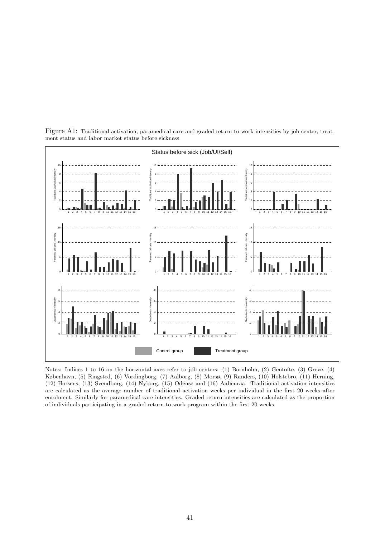

Figure A1: Traditional activation, paramedical care and graded return-to-work intensities by job center, treatment status and labor market status before sickness

Notes: Indices 1 to 16 on the horizontal axes refer to job centers: (1) Bornholm, (2) Gentofte, (3) Greve, (4) København, (5) Ringsted, (6) Vordingborg, (7) Aalborg, (8) Morsø, (9) Randers, (10) Holstebro, (11) Herning, (12) Horsens, (13) Svendborg, (14) Nyborg, (15) Odense and (16) Aabenraa. Traditional activation intensities are calculated as the average number of traditional activation weeks per individual in the first 20 weeks after enrolment. Similarly for paramedical care intensities. Graded return intensities are calculated as the proportion of individuals participating in a graded return-to-work program within the first 20 weeks.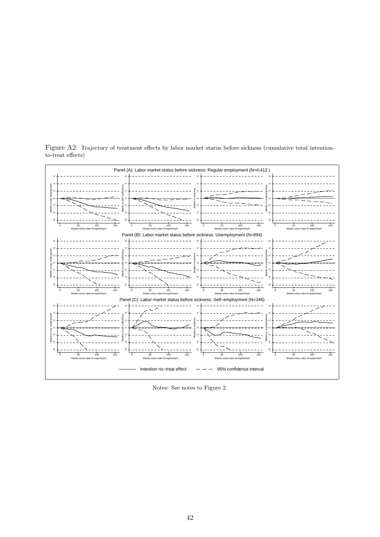

Figure A2: Trajectory of treatment effects by labor market status before sickness (cumulative total intentionto-treat effects)

Notes: See notes to Figure 2.